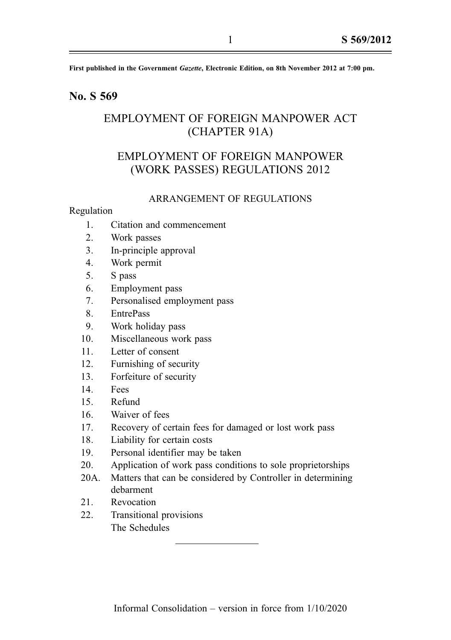First published in the Government Gazette, Electronic Edition, on 8th November 2012 at 7:00 pm.

## No. S 569

# EMPLOYMENT OF FOREIGN MANPOWER ACT (CHAPTER 91A)

# EMPLOYMENT OF FOREIGN MANPOWER (WORK PASSES) REGULATIONS 2012

#### ARRANGEMENT OF REGULATIONS

#### Regulation

- 1. Citation and commencement
- 2. Work passes
- 3. In-principle approval
- 4. Work permit
- 5. S pass
- 6. Employment pass
- 7. Personalised employment pass
- 8. EntrePass
- 9. Work holiday pass
- 10. Miscellaneous work pass
- 11. Letter of consent
- 12. Furnishing of security
- 13. Forfeiture of security
- 14. Fees
- 15. Refund
- 16. Waiver of fees
- 17. Recovery of certain fees for damaged or lost work pass
- 18. Liability for certain costs
- 19. Personal identifier may be taken
- 20. Application of work pass conditions to sole proprietorships
- 20A. Matters that can be considered by Controller in determining debarment
- 21. Revocation
- 22. Transitional provisions The Schedules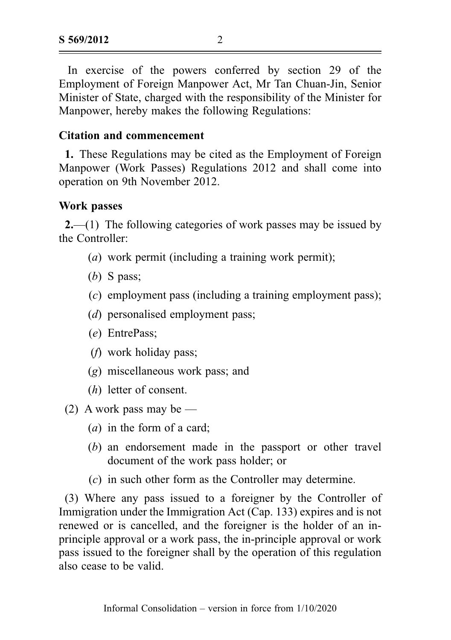In exercise of the powers conferred by section 29 of the Employment of Foreign Manpower Act, Mr Tan Chuan-Jin, Senior Minister of State, charged with the responsibility of the Minister for Manpower, hereby makes the following Regulations:

# Citation and commencement

1. These Regulations may be cited as the Employment of Foreign Manpower (Work Passes) Regulations 2012 and shall come into operation on 9th November 2012.

## Work passes

2.—(1) The following categories of work passes may be issued by the Controller:

- (a) work permit (including a training work permit);
- (b) S pass;
- (c) employment pass (including a training employment pass);
- (*d*) personalised employment pass;
- (e) EntrePass;
- (f) work holiday pass;
- (g) miscellaneous work pass; and
- (h) letter of consent.
- (2) A work pass may be  $-$ 
	- (a) in the form of a card;
	- (b) an endorsement made in the passport or other travel document of the work pass holder; or
	- (c) in such other form as the Controller may determine.

(3) Where any pass issued to a foreigner by the Controller of Immigration under the Immigration Act (Cap. 133) expires and is not renewed or is cancelled, and the foreigner is the holder of an inprinciple approval or a work pass, the in-principle approval or work pass issued to the foreigner shall by the operation of this regulation also cease to be valid.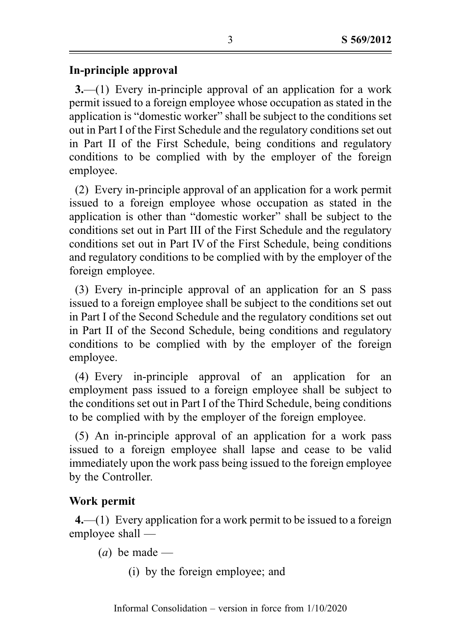# In-principle approval

3.—(1) Every in-principle approval of an application for a work permit issued to a foreign employee whose occupation as stated in the application is "domestic worker" shall be subject to the conditions set out in Part I of the First Schedule and the regulatory conditions set out in Part II of the First Schedule, being conditions and regulatory conditions to be complied with by the employer of the foreign employee.

(2) Every in-principle approval of an application for a work permit issued to a foreign employee whose occupation as stated in the application is other than "domestic worker" shall be subject to the conditions set out in Part III of the First Schedule and the regulatory conditions set out in Part IV of the First Schedule, being conditions and regulatory conditions to be complied with by the employer of the foreign employee.

(3) Every in-principle approval of an application for an S pass issued to a foreign employee shall be subject to the conditions set out in Part I of the Second Schedule and the regulatory conditions set out in Part II of the Second Schedule, being conditions and regulatory conditions to be complied with by the employer of the foreign employee.

(4) Every in-principle approval of an application for an employment pass issued to a foreign employee shall be subject to the conditions set out in Part I of the Third Schedule, being conditions to be complied with by the employer of the foreign employee.

(5) An in-principle approval of an application for a work pass issued to a foreign employee shall lapse and cease to be valid immediately upon the work pass being issued to the foreign employee by the Controller.

# Work permit

4.—(1) Every application for a work permit to be issued to a foreign employee shall —

(*a*) be made —

(i) by the foreign employee; and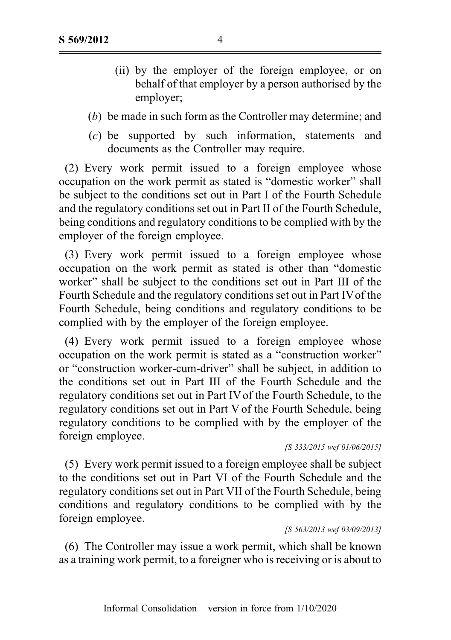- (ii) by the employer of the foreign employee, or on behalf of that employer by a person authorised by the employer;
- (b) be made in such form as the Controller may determine; and
- (c) be supported by such information, statements and documents as the Controller may require.

(2) Every work permit issued to a foreign employee whose occupation on the work permit as stated is "domestic worker" shall be subject to the conditions set out in Part I of the Fourth Schedule and the regulatory conditions set out in Part II of the Fourth Schedule, being conditions and regulatory conditions to be complied with by the employer of the foreign employee.

(3) Every work permit issued to a foreign employee whose occupation on the work permit as stated is other than "domestic worker" shall be subject to the conditions set out in Part III of the Fourth Schedule and the regulatory conditions set out in Part IVof the Fourth Schedule, being conditions and regulatory conditions to be complied with by the employer of the foreign employee.

(4) Every work permit issued to a foreign employee whose occupation on the work permit is stated as a "construction worker" or "construction worker-cum-driver" shall be subject, in addition to the conditions set out in Part III of the Fourth Schedule and the regulatory conditions set out in Part IV of the Fourth Schedule, to the regulatory conditions set out in Part V of the Fourth Schedule, being regulatory conditions to be complied with by the employer of the foreign employee.

(5) Every work permit issued to a foreign employee shall be subject to the conditions set out in Part VI of the Fourth Schedule and the regulatory conditions set out in Part VII of the Fourth Schedule, being conditions and regulatory conditions to be complied with by the foreign employee.

#### [S 563/2013 wef 03/09/2013]

(6) The Controller may issue a work permit, which shall be known as a training work permit, to a foreigner who is receiving or is about to

<sup>[</sup>S 333/2015 wef 01/06/2015]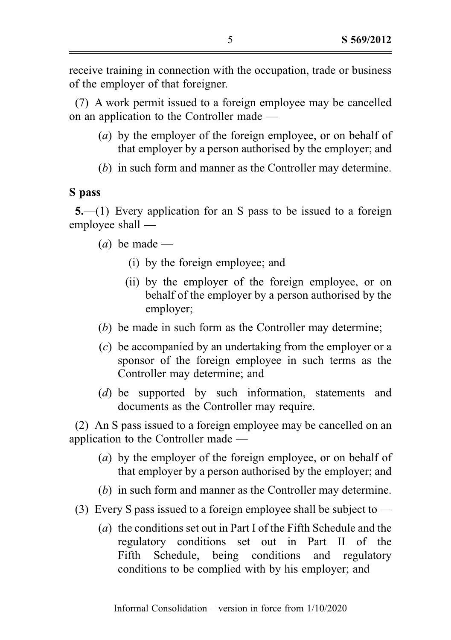receive training in connection with the occupation, trade or business of the employer of that foreigner.

(7) A work permit issued to a foreign employee may be cancelled on an application to the Controller made —

- (a) by the employer of the foreign employee, or on behalf of that employer by a person authorised by the employer; and
- (b) in such form and manner as the Controller may determine.

## S pass

5.—(1) Every application for an S pass to be issued to a foreign employee shall —

 $(a)$  be made —

- (i) by the foreign employee; and
- (ii) by the employer of the foreign employee, or on behalf of the employer by a person authorised by the employer;
- (b) be made in such form as the Controller may determine;
- (c) be accompanied by an undertaking from the employer or a sponsor of the foreign employee in such terms as the Controller may determine; and
- (d) be supported by such information, statements and documents as the Controller may require.

(2) An S pass issued to a foreign employee may be cancelled on an application to the Controller made —

- (a) by the employer of the foreign employee, or on behalf of that employer by a person authorised by the employer; and
- (b) in such form and manner as the Controller may determine.
- (3) Every S pass issued to a foreign employee shall be subject to
	- (a) the conditions set out in Part I of the Fifth Schedule and the regulatory conditions set out in Part II of the Fifth Schedule, being conditions and regulatory conditions to be complied with by his employer; and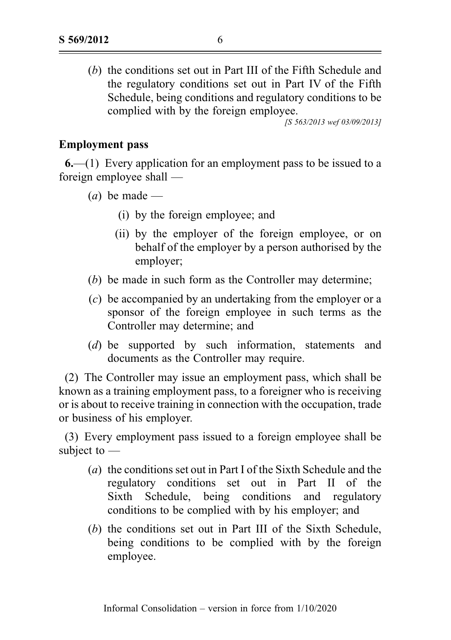(b) the conditions set out in Part III of the Fifth Schedule and the regulatory conditions set out in Part IV of the Fifth Schedule, being conditions and regulatory conditions to be complied with by the foreign employee.

[S 563/2013 wef 03/09/2013]

## Employment pass

6.—(1) Every application for an employment pass to be issued to a foreign employee shall —

- $(a)$  be made
	- (i) by the foreign employee; and
	- (ii) by the employer of the foreign employee, or on behalf of the employer by a person authorised by the employer;
- (b) be made in such form as the Controller may determine;
- (c) be accompanied by an undertaking from the employer or a sponsor of the foreign employee in such terms as the Controller may determine; and
- (d) be supported by such information, statements and documents as the Controller may require.

(2) The Controller may issue an employment pass, which shall be known as a training employment pass, to a foreigner who is receiving or is about to receive training in connection with the occupation, trade or business of his employer.

(3) Every employment pass issued to a foreign employee shall be subject to —

- (a) the conditions set out in Part I of the Sixth Schedule and the regulatory conditions set out in Part II of the Sixth Schedule, being conditions and regulatory conditions to be complied with by his employer; and
- (b) the conditions set out in Part III of the Sixth Schedule, being conditions to be complied with by the foreign employee.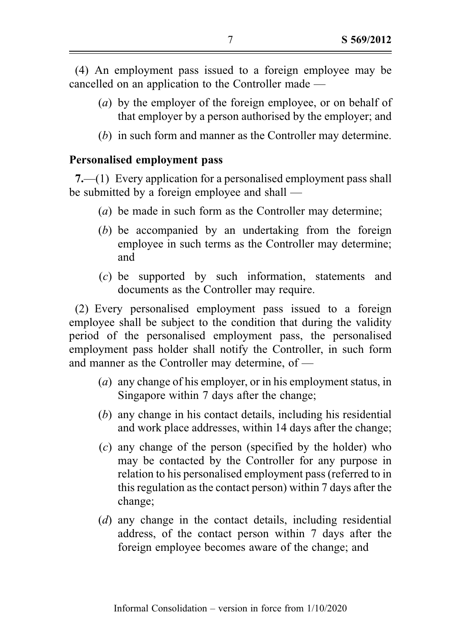(4) An employment pass issued to a foreign employee may be cancelled on an application to the Controller made —

- (a) by the employer of the foreign employee, or on behalf of that employer by a person authorised by the employer; and
- (b) in such form and manner as the Controller may determine.

# Personalised employment pass

7.—(1) Every application for a personalised employment pass shall be submitted by a foreign employee and shall —

- (a) be made in such form as the Controller may determine;
- (b) be accompanied by an undertaking from the foreign employee in such terms as the Controller may determine; and
- (c) be supported by such information, statements and documents as the Controller may require.

(2) Every personalised employment pass issued to a foreign employee shall be subject to the condition that during the validity period of the personalised employment pass, the personalised employment pass holder shall notify the Controller, in such form and manner as the Controller may determine, of —

- (a) any change of his employer, or in his employment status, in Singapore within 7 days after the change;
- (b) any change in his contact details, including his residential and work place addresses, within 14 days after the change;
- (c) any change of the person (specified by the holder) who may be contacted by the Controller for any purpose in relation to his personalised employment pass (referred to in this regulation as the contact person) within 7 days after the change;
- (d) any change in the contact details, including residential address, of the contact person within 7 days after the foreign employee becomes aware of the change; and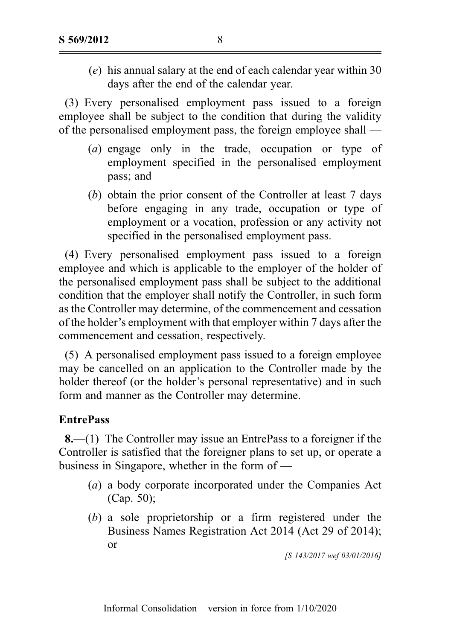(e) his annual salary at the end of each calendar year within 30 days after the end of the calendar year.

(3) Every personalised employment pass issued to a foreign employee shall be subject to the condition that during the validity of the personalised employment pass, the foreign employee shall —

- (a) engage only in the trade, occupation or type of employment specified in the personalised employment pass; and
- (b) obtain the prior consent of the Controller at least 7 days before engaging in any trade, occupation or type of employment or a vocation, profession or any activity not specified in the personalised employment pass.

(4) Every personalised employment pass issued to a foreign employee and which is applicable to the employer of the holder of the personalised employment pass shall be subject to the additional condition that the employer shall notify the Controller, in such form as the Controller may determine, of the commencement and cessation of the holder's employment with that employer within 7 days after the commencement and cessation, respectively.

(5) A personalised employment pass issued to a foreign employee may be cancelled on an application to the Controller made by the holder thereof (or the holder's personal representative) and in such form and manner as the Controller may determine.

# **EntrePass**

8.—(1) The Controller may issue an EntrePass to a foreigner if the Controller is satisfied that the foreigner plans to set up, or operate a business in Singapore, whether in the form of —

- (a) a body corporate incorporated under the Companies Act (Cap. 50);
- (b) a sole proprietorship or a firm registered under the Business Names Registration Act 2014 (Act 29 of 2014); or

[S 143/2017 wef 03/01/2016]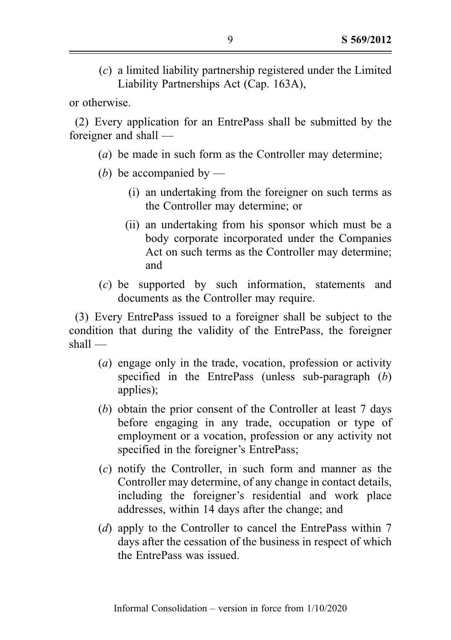(c) a limited liability partnership registered under the Limited Liability Partnerships Act (Cap. 163A),

or otherwise.

(2) Every application for an EntrePass shall be submitted by the foreigner and shall —

- (a) be made in such form as the Controller may determine;
- (b) be accompanied by
	- (i) an undertaking from the foreigner on such terms as the Controller may determine; or
	- (ii) an undertaking from his sponsor which must be a body corporate incorporated under the Companies Act on such terms as the Controller may determine; and
- (c) be supported by such information, statements and documents as the Controller may require.

(3) Every EntrePass issued to a foreigner shall be subject to the condition that during the validity of the EntrePass, the foreigner shall —

- (a) engage only in the trade, vocation, profession or activity specified in the EntrePass (unless sub-paragraph (b) applies);
- (b) obtain the prior consent of the Controller at least 7 days before engaging in any trade, occupation or type of employment or a vocation, profession or any activity not specified in the foreigner's EntrePass;
- (c) notify the Controller, in such form and manner as the Controller may determine, of any change in contact details, including the foreigner's residential and work place addresses, within 14 days after the change; and
- (d) apply to the Controller to cancel the EntrePass within 7 days after the cessation of the business in respect of which the EntrePass was issued.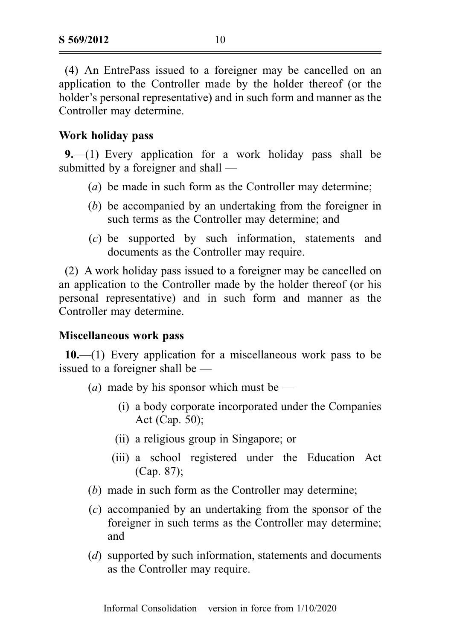(4) An EntrePass issued to a foreigner may be cancelled on an application to the Controller made by the holder thereof (or the holder's personal representative) and in such form and manner as the Controller may determine.

## Work holiday pass

9.—(1) Every application for a work holiday pass shall be submitted by a foreigner and shall —

- (a) be made in such form as the Controller may determine;
- (b) be accompanied by an undertaking from the foreigner in such terms as the Controller may determine; and
- (c) be supported by such information, statements and documents as the Controller may require.

(2) A work holiday pass issued to a foreigner may be cancelled on an application to the Controller made by the holder thereof (or his personal representative) and in such form and manner as the Controller may determine.

## Miscellaneous work pass

 $10$ .—(1) Every application for a miscellaneous work pass to be issued to a foreigner shall be —

- (*a*) made by his sponsor which must be
	- (i) a body corporate incorporated under the Companies Act (Cap. 50);
	- (ii) a religious group in Singapore; or
	- (iii) a school registered under the Education Act (Cap. 87);
- (b) made in such form as the Controller may determine;
- (c) accompanied by an undertaking from the sponsor of the foreigner in such terms as the Controller may determine; and
- (d) supported by such information, statements and documents as the Controller may require.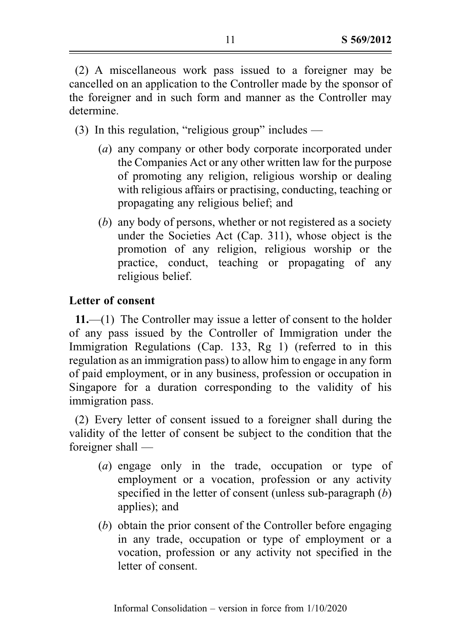(2) A miscellaneous work pass issued to a foreigner may be cancelled on an application to the Controller made by the sponsor of the foreigner and in such form and manner as the Controller may determine.

(3) In this regulation, "religious group" includes —

- (a) any company or other body corporate incorporated under the Companies Act or any other written law for the purpose of promoting any religion, religious worship or dealing with religious affairs or practising, conducting, teaching or propagating any religious belief; and
- (b) any body of persons, whether or not registered as a society under the Societies Act (Cap. 311), whose object is the promotion of any religion, religious worship or the practice, conduct, teaching or propagating of any religious belief.

# Letter of consent

11.—(1) The Controller may issue a letter of consent to the holder of any pass issued by the Controller of Immigration under the Immigration Regulations (Cap. 133, Rg 1) (referred to in this regulation as an immigration pass) to allow him to engage in any form of paid employment, or in any business, profession or occupation in Singapore for a duration corresponding to the validity of his immigration pass.

(2) Every letter of consent issued to a foreigner shall during the validity of the letter of consent be subject to the condition that the foreigner shall —

- (a) engage only in the trade, occupation or type of employment or a vocation, profession or any activity specified in the letter of consent (unless sub-paragraph (b) applies); and
- (b) obtain the prior consent of the Controller before engaging in any trade, occupation or type of employment or a vocation, profession or any activity not specified in the letter of consent.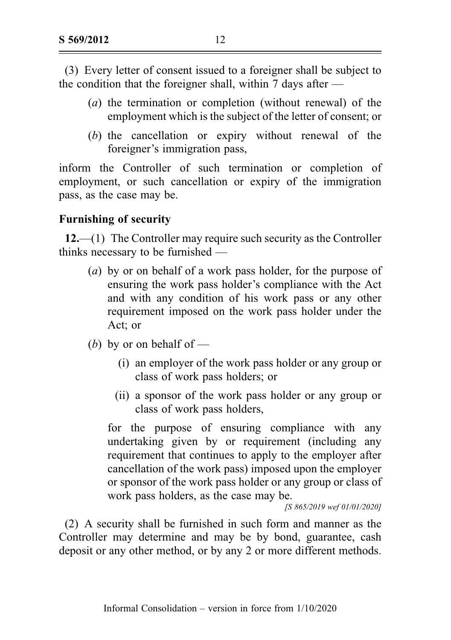(3) Every letter of consent issued to a foreigner shall be subject to the condition that the foreigner shall, within 7 days after  $-$ 

- (a) the termination or completion (without renewal) of the employment which is the subject of the letter of consent; or
- (b) the cancellation or expiry without renewal of the foreigner's immigration pass,

inform the Controller of such termination or completion of employment, or such cancellation or expiry of the immigration pass, as the case may be.

# Furnishing of security

12.—(1) The Controller may require such security as the Controller thinks necessary to be furnished —

- (a) by or on behalf of a work pass holder, for the purpose of ensuring the work pass holder's compliance with the Act and with any condition of his work pass or any other requirement imposed on the work pass holder under the Act; or
- (b) by or on behalf of
	- (i) an employer of the work pass holder or any group or class of work pass holders; or
	- (ii) a sponsor of the work pass holder or any group or class of work pass holders,

for the purpose of ensuring compliance with any undertaking given by or requirement (including any requirement that continues to apply to the employer after cancellation of the work pass) imposed upon the employer or sponsor of the work pass holder or any group or class of work pass holders, as the case may be.

[S 865/2019 wef 01/01/2020]

(2) A security shall be furnished in such form and manner as the Controller may determine and may be by bond, guarantee, cash deposit or any other method, or by any 2 or more different methods.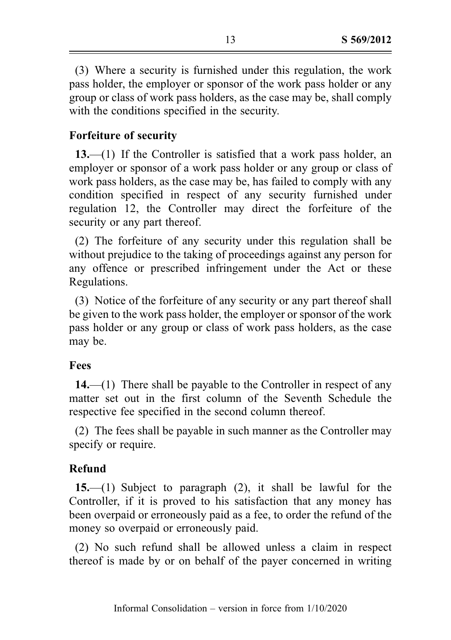(3) Where a security is furnished under this regulation, the work pass holder, the employer or sponsor of the work pass holder or any group or class of work pass holders, as the case may be, shall comply with the conditions specified in the security.

# Forfeiture of security

13.—(1) If the Controller is satisfied that a work pass holder, an employer or sponsor of a work pass holder or any group or class of work pass holders, as the case may be, has failed to comply with any condition specified in respect of any security furnished under regulation 12, the Controller may direct the forfeiture of the security or any part thereof.

(2) The forfeiture of any security under this regulation shall be without prejudice to the taking of proceedings against any person for any offence or prescribed infringement under the Act or these Regulations.

(3) Notice of the forfeiture of any security or any part thereof shall be given to the work pass holder, the employer or sponsor of the work pass holder or any group or class of work pass holders, as the case may be.

# Fees

 $14.$ —(1) There shall be payable to the Controller in respect of any matter set out in the first column of the Seventh Schedule the respective fee specified in the second column thereof.

(2) The fees shall be payable in such manner as the Controller may specify or require.

# Refund

15.—(1) Subject to paragraph (2), it shall be lawful for the Controller, if it is proved to his satisfaction that any money has been overpaid or erroneously paid as a fee, to order the refund of the money so overpaid or erroneously paid.

(2) No such refund shall be allowed unless a claim in respect thereof is made by or on behalf of the payer concerned in writing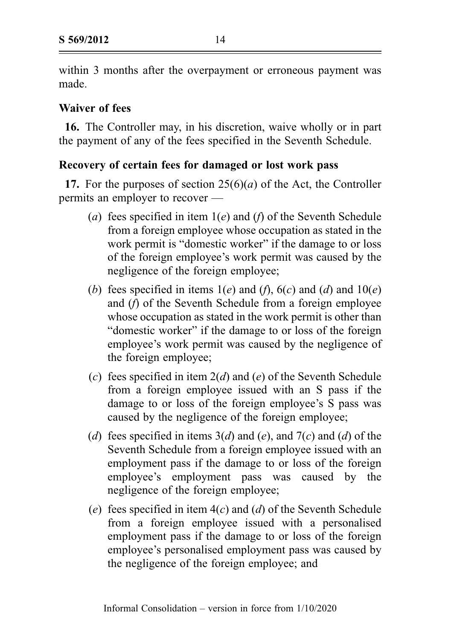within 3 months after the overpayment or erroneous payment was made.

# Waiver of fees

16. The Controller may, in his discretion, waive wholly or in part the payment of any of the fees specified in the Seventh Schedule.

# Recovery of certain fees for damaged or lost work pass

17. For the purposes of section  $25(6)(a)$  of the Act, the Controller permits an employer to recover —

- (a) fees specified in item  $1(e)$  and (f) of the Seventh Schedule from a foreign employee whose occupation as stated in the work permit is "domestic worker" if the damage to or loss of the foreign employee's work permit was caused by the negligence of the foreign employee;
- (b) fees specified in items  $1(e)$  and  $(f)$ ,  $6(c)$  and  $(d)$  and  $10(e)$ and (f) of the Seventh Schedule from a foreign employee whose occupation as stated in the work permit is other than "domestic worker" if the damage to or loss of the foreign employee's work permit was caused by the negligence of the foreign employee;
- (c) fees specified in item  $2(d)$  and (e) of the Seventh Schedule from a foreign employee issued with an S pass if the damage to or loss of the foreign employee's S pass was caused by the negligence of the foreign employee;
- (d) fees specified in items  $3(d)$  and (e), and  $7(c)$  and (d) of the Seventh Schedule from a foreign employee issued with an employment pass if the damage to or loss of the foreign employee's employment pass was caused by the negligence of the foreign employee;
- (e) fees specified in item  $4(c)$  and (d) of the Seventh Schedule from a foreign employee issued with a personalised employment pass if the damage to or loss of the foreign employee's personalised employment pass was caused by the negligence of the foreign employee; and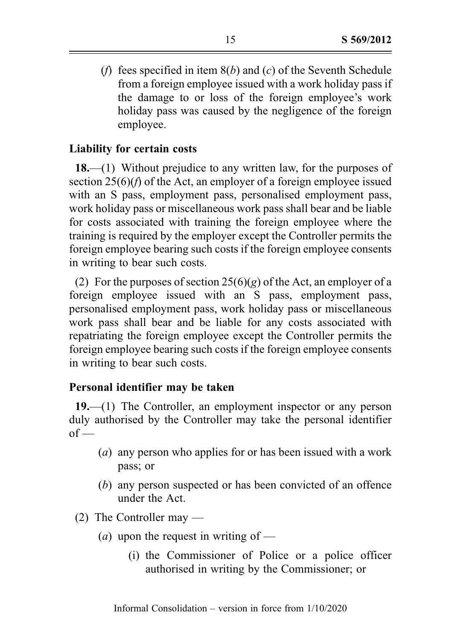(f) fees specified in item  $8(b)$  and (c) of the Seventh Schedule from a foreign employee issued with a work holiday pass if the damage to or loss of the foreign employee's work holiday pass was caused by the negligence of the foreign employee.

# Liability for certain costs

18.—(1) Without prejudice to any written law, for the purposes of section 25(6)(f) of the Act, an employer of a foreign employee issued with an S pass, employment pass, personalised employment pass, work holiday pass or miscellaneous work pass shall bear and be liable for costs associated with training the foreign employee where the training is required by the employer except the Controller permits the foreign employee bearing such costs if the foreign employee consents in writing to bear such costs.

(2) For the purposes of section  $25(6)(g)$  of the Act, an employer of a foreign employee issued with an S pass, employment pass, personalised employment pass, work holiday pass or miscellaneous work pass shall bear and be liable for any costs associated with repatriating the foreign employee except the Controller permits the foreign employee bearing such costs if the foreign employee consents in writing to bear such costs.

# Personal identifier may be taken

19.—(1) The Controller, an employment inspector or any person duly authorised by the Controller may take the personal identifier  $of -$ 

- (a) any person who applies for or has been issued with a work pass; or
- (b) any person suspected or has been convicted of an offence under the Act.
- (2) The Controller may
	- (*a*) upon the request in writing of
		- (i) the Commissioner of Police or a police officer authorised in writing by the Commissioner; or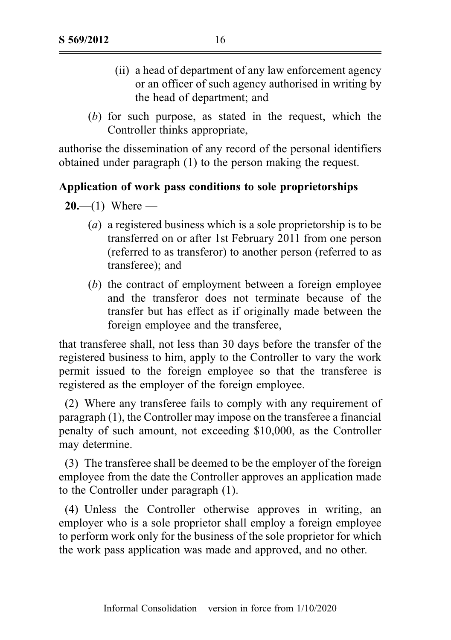- (ii) a head of department of any law enforcement agency or an officer of such agency authorised in writing by the head of department; and
- (b) for such purpose, as stated in the request, which the Controller thinks appropriate,

authorise the dissemination of any record of the personal identifiers obtained under paragraph (1) to the person making the request.

# Application of work pass conditions to sole proprietorships

 $20 - (1)$  Where —

- (a) a registered business which is a sole proprietorship is to be transferred on or after 1st February 2011 from one person (referred to as transferor) to another person (referred to as transferee); and
- (b) the contract of employment between a foreign employee and the transferor does not terminate because of the transfer but has effect as if originally made between the foreign employee and the transferee,

that transferee shall, not less than 30 days before the transfer of the registered business to him, apply to the Controller to vary the work permit issued to the foreign employee so that the transferee is registered as the employer of the foreign employee.

(2) Where any transferee fails to comply with any requirement of paragraph (1), the Controller may impose on the transferee a financial penalty of such amount, not exceeding \$10,000, as the Controller may determine.

(3) The transferee shall be deemed to be the employer of the foreign employee from the date the Controller approves an application made to the Controller under paragraph (1).

(4) Unless the Controller otherwise approves in writing, an employer who is a sole proprietor shall employ a foreign employee to perform work only for the business of the sole proprietor for which the work pass application was made and approved, and no other.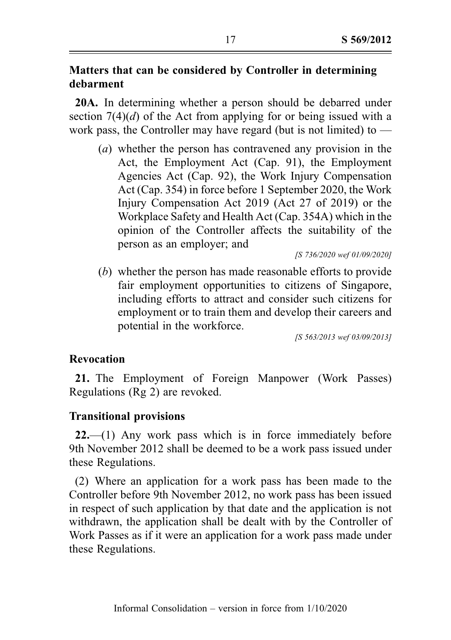# Matters that can be considered by Controller in determining debarment

20A. In determining whether a person should be debarred under section 7(4)(*d*) of the Act from applying for or being issued with a work pass, the Controller may have regard (but is not limited) to  $-$ 

(a) whether the person has contravened any provision in the Act, the Employment Act (Cap. 91), the Employment Agencies Act (Cap. 92), the Work Injury Compensation Act (Cap. 354) in force before 1 September 2020, the Work Injury Compensation Act 2019 (Act 27 of 2019) or the Workplace Safety and Health Act (Cap. 354A) which in the opinion of the Controller affects the suitability of the person as an employer; and

[S 736/2020 wef 01/09/2020]

(b) whether the person has made reasonable efforts to provide fair employment opportunities to citizens of Singapore, including efforts to attract and consider such citizens for employment or to train them and develop their careers and potential in the workforce.

[S 563/2013 wef 03/09/2013]

## Revocation

21. The Employment of Foreign Manpower (Work Passes) Regulations (Rg 2) are revoked.

## Transitional provisions

22.—(1) Any work pass which is in force immediately before 9th November 2012 shall be deemed to be a work pass issued under these Regulations.

(2) Where an application for a work pass has been made to the Controller before 9th November 2012, no work pass has been issued in respect of such application by that date and the application is not withdrawn, the application shall be dealt with by the Controller of Work Passes as if it were an application for a work pass made under these Regulations.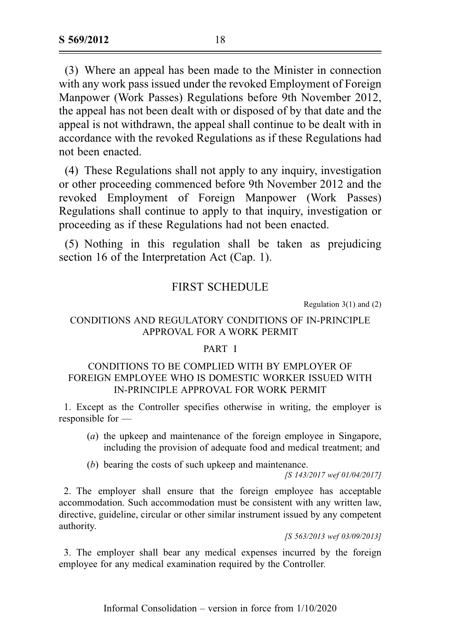(3) Where an appeal has been made to the Minister in connection with any work pass issued under the revoked Employment of Foreign Manpower (Work Passes) Regulations before 9th November 2012, the appeal has not been dealt with or disposed of by that date and the appeal is not withdrawn, the appeal shall continue to be dealt with in accordance with the revoked Regulations as if these Regulations had not been enacted.

(4) These Regulations shall not apply to any inquiry, investigation or other proceeding commenced before 9th November 2012 and the revoked Employment of Foreign Manpower (Work Passes) Regulations shall continue to apply to that inquiry, investigation or proceeding as if these Regulations had not been enacted.

(5) Nothing in this regulation shall be taken as prejudicing section 16 of the Interpretation Act (Cap. 1).

## FIRST SCHEDULE

Regulation 3(1) and (2)

## CONDITIONS AND REGULATORY CONDITIONS OF IN-PRINCIPLE APPROVAL FOR A WORK PERMIT

### PART I

## CONDITIONS TO BE COMPLIED WITH BY EMPLOYER OF FOREIGN EMPLOYEE WHO IS DOMESTIC WORKER ISSUED WITH IN-PRINCIPLE APPROVAL FOR WORK PERMIT

1. Except as the Controller specifies otherwise in writing, the employer is responsible for —

- (a) the upkeep and maintenance of the foreign employee in Singapore, including the provision of adequate food and medical treatment; and
- (b) bearing the costs of such upkeep and maintenance.

[S 143/2017 wef 01/04/2017]

2. The employer shall ensure that the foreign employee has acceptable accommodation. Such accommodation must be consistent with any written law, directive, guideline, circular or other similar instrument issued by any competent authority.

[S 563/2013 wef 03/09/2013]

3. The employer shall bear any medical expenses incurred by the foreign employee for any medical examination required by the Controller.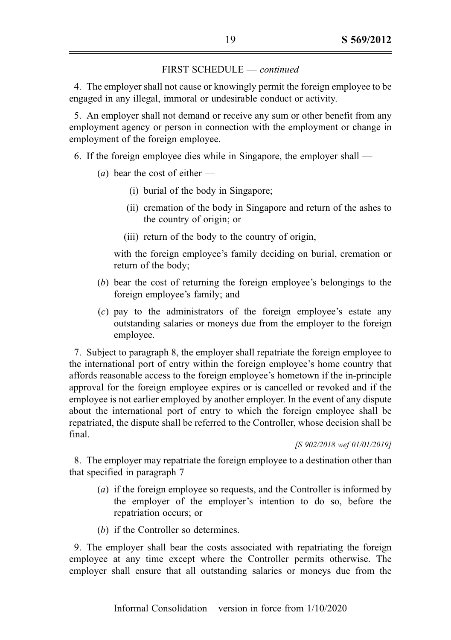4. The employer shall not cause or knowingly permit the foreign employee to be engaged in any illegal, immoral or undesirable conduct or activity.

5. An employer shall not demand or receive any sum or other benefit from any employment agency or person in connection with the employment or change in employment of the foreign employee.

6. If the foreign employee dies while in Singapore, the employer shall —

- (*a*) bear the cost of either
	- (i) burial of the body in Singapore;
	- (ii) cremation of the body in Singapore and return of the ashes to the country of origin; or
	- (iii) return of the body to the country of origin,

with the foreign employee's family deciding on burial, cremation or return of the body;

- (b) bear the cost of returning the foreign employee's belongings to the foreign employee's family; and
- (c) pay to the administrators of the foreign employee's estate any outstanding salaries or moneys due from the employer to the foreign employee.

7. Subject to paragraph 8, the employer shall repatriate the foreign employee to the international port of entry within the foreign employee's home country that affords reasonable access to the foreign employee's hometown if the in-principle approval for the foreign employee expires or is cancelled or revoked and if the employee is not earlier employed by another employer. In the event of any dispute about the international port of entry to which the foreign employee shall be repatriated, the dispute shall be referred to the Controller, whose decision shall be final.

[S 902/2018 wef 01/01/2019]

8. The employer may repatriate the foreign employee to a destination other than that specified in paragraph 7 —

- (a) if the foreign employee so requests, and the Controller is informed by the employer of the employer's intention to do so, before the repatriation occurs; or
- (b) if the Controller so determines.

9. The employer shall bear the costs associated with repatriating the foreign employee at any time except where the Controller permits otherwise. The employer shall ensure that all outstanding salaries or moneys due from the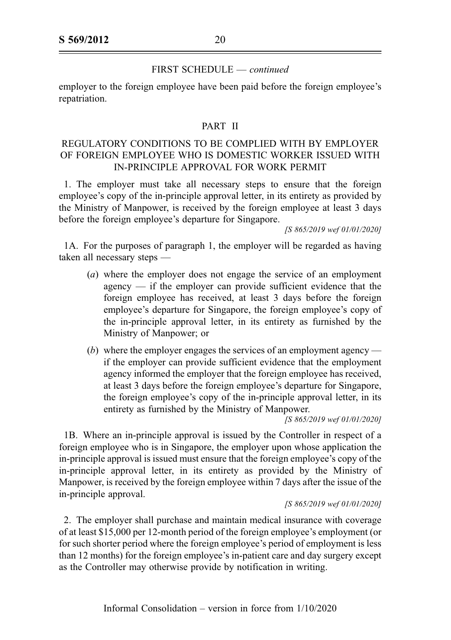employer to the foreign employee have been paid before the foreign employee's repatriation.

### PART II

## REGULATORY CONDITIONS TO BE COMPLIED WITH BY EMPLOYER OF FOREIGN EMPLOYEE WHO IS DOMESTIC WORKER ISSUED WITH IN-PRINCIPLE APPROVAL FOR WORK PERMIT

1. The employer must take all necessary steps to ensure that the foreign employee's copy of the in-principle approval letter, in its entirety as provided by the Ministry of Manpower, is received by the foreign employee at least 3 days before the foreign employee's departure for Singapore.

[S 865/2019 wef 01/01/2020]

1A. For the purposes of paragraph 1, the employer will be regarded as having taken all necessary steps —

- (a) where the employer does not engage the service of an employment agency — if the employer can provide sufficient evidence that the foreign employee has received, at least 3 days before the foreign employee's departure for Singapore, the foreign employee's copy of the in-principle approval letter, in its entirety as furnished by the Ministry of Manpower; or
- (b) where the employer engages the services of an employment agency if the employer can provide sufficient evidence that the employment agency informed the employer that the foreign employee has received, at least 3 days before the foreign employee's departure for Singapore, the foreign employee's copy of the in-principle approval letter, in its entirety as furnished by the Ministry of Manpower.

[S 865/2019 wef 01/01/2020]

1B. Where an in-principle approval is issued by the Controller in respect of a foreign employee who is in Singapore, the employer upon whose application the in-principle approval is issued must ensure that the foreign employee's copy of the in-principle approval letter, in its entirety as provided by the Ministry of Manpower, is received by the foreign employee within 7 days after the issue of the in-principle approval.

[S 865/2019 wef 01/01/2020]

2. The employer shall purchase and maintain medical insurance with coverage of at least \$15,000 per 12-month period of the foreign employee's employment (or for such shorter period where the foreign employee's period of employment is less than 12 months) for the foreign employee's in-patient care and day surgery except as the Controller may otherwise provide by notification in writing.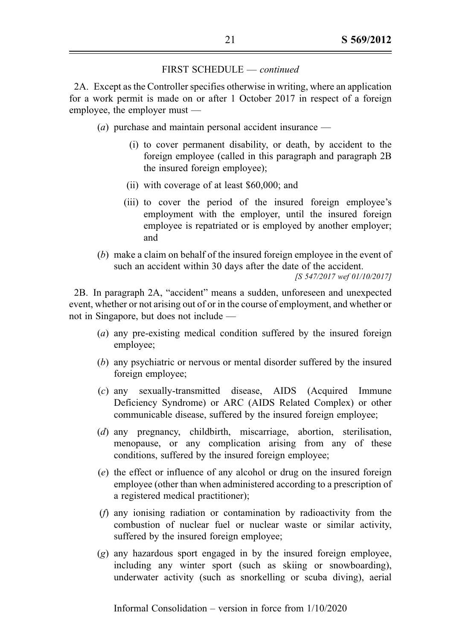2A. Except as the Controller specifies otherwise in writing, where an application for a work permit is made on or after 1 October 2017 in respect of a foreign employee, the employer must —

- (a) purchase and maintain personal accident insurance
	- (i) to cover permanent disability, or death, by accident to the foreign employee (called in this paragraph and paragraph 2B the insured foreign employee);
	- (ii) with coverage of at least \$60,000; and
	- (iii) to cover the period of the insured foreign employee's employment with the employer, until the insured foreign employee is repatriated or is employed by another employer; and
- (b) make a claim on behalf of the insured foreign employee in the event of such an accident within 30 days after the date of the accident. [S 547/2017 wef 01/10/2017]

2B. In paragraph 2A, "accident" means a sudden, unforeseen and unexpected event, whether or not arising out of or in the course of employment, and whether or not in Singapore, but does not include —

- (a) any pre-existing medical condition suffered by the insured foreign employee;
- (b) any psychiatric or nervous or mental disorder suffered by the insured foreign employee;
- (c) any sexually-transmitted disease, AIDS (Acquired Immune Deficiency Syndrome) or ARC (AIDS Related Complex) or other communicable disease, suffered by the insured foreign employee;
- (d) any pregnancy, childbirth, miscarriage, abortion, sterilisation, menopause, or any complication arising from any of these conditions, suffered by the insured foreign employee;
- (e) the effect or influence of any alcohol or drug on the insured foreign employee (other than when administered according to a prescription of a registered medical practitioner);
- (f) any ionising radiation or contamination by radioactivity from the combustion of nuclear fuel or nuclear waste or similar activity, suffered by the insured foreign employee;
- (g) any hazardous sport engaged in by the insured foreign employee, including any winter sport (such as skiing or snowboarding), underwater activity (such as snorkelling or scuba diving), aerial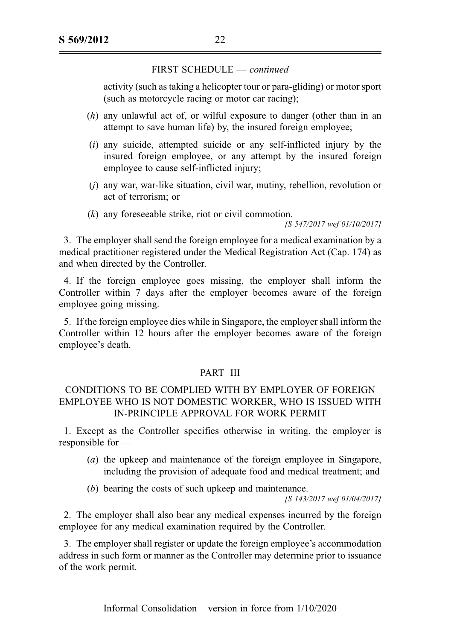activity (such as taking a helicopter tour or para-gliding) or motor sport (such as motorcycle racing or motor car racing);

- (h) any unlawful act of, or wilful exposure to danger (other than in an attempt to save human life) by, the insured foreign employee;
- $(i)$  any suicide, attempted suicide or any self-inflicted injury by the insured foreign employee, or any attempt by the insured foreign employee to cause self-inflicted injury;
- (j) any war, war-like situation, civil war, mutiny, rebellion, revolution or act of terrorism; or
- (k) any foreseeable strike, riot or civil commotion.

[S 547/2017 wef 01/10/2017]

3. The employer shall send the foreign employee for a medical examination by a medical practitioner registered under the Medical Registration Act (Cap. 174) as and when directed by the Controller.

4. If the foreign employee goes missing, the employer shall inform the Controller within 7 days after the employer becomes aware of the foreign employee going missing.

5. If the foreign employee dies while in Singapore, the employer shall inform the Controller within 12 hours after the employer becomes aware of the foreign employee's death.

### PART III

## CONDITIONS TO BE COMPLIED WITH BY EMPLOYER OF FOREIGN EMPLOYEE WHO IS NOT DOMESTIC WORKER, WHO IS ISSUED WITH IN-PRINCIPLE APPROVAL FOR WORK PERMIT

1. Except as the Controller specifies otherwise in writing, the employer is responsible for —

- (a) the upkeep and maintenance of the foreign employee in Singapore, including the provision of adequate food and medical treatment; and
- (b) bearing the costs of such upkeep and maintenance.

[S 143/2017 wef 01/04/2017]

2. The employer shall also bear any medical expenses incurred by the foreign employee for any medical examination required by the Controller.

3. The employer shall register or update the foreign employee's accommodation address in such form or manner as the Controller may determine prior to issuance of the work permit.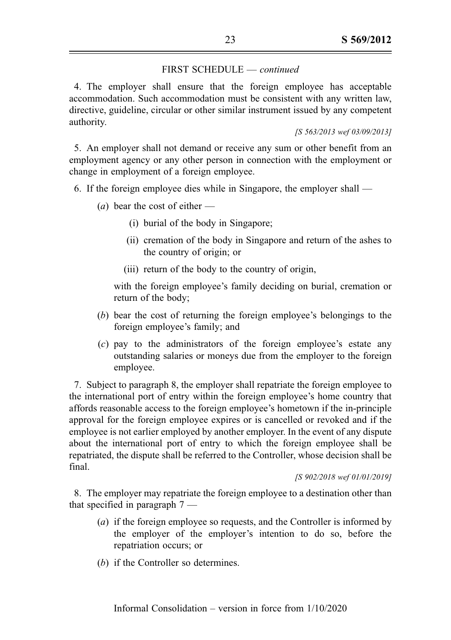4. The employer shall ensure that the foreign employee has acceptable accommodation. Such accommodation must be consistent with any written law, directive, guideline, circular or other similar instrument issued by any competent authority.

[S 563/2013 wef 03/09/2013]

5. An employer shall not demand or receive any sum or other benefit from an employment agency or any other person in connection with the employment or change in employment of a foreign employee.

6. If the foreign employee dies while in Singapore, the employer shall —

- (*a*) bear the cost of either
	- (i) burial of the body in Singapore;
	- (ii) cremation of the body in Singapore and return of the ashes to the country of origin; or
	- (iii) return of the body to the country of origin,

with the foreign employee's family deciding on burial, cremation or return of the body;

- (b) bear the cost of returning the foreign employee's belongings to the foreign employee's family; and
- (c) pay to the administrators of the foreign employee's estate any outstanding salaries or moneys due from the employer to the foreign employee.

7. Subject to paragraph 8, the employer shall repatriate the foreign employee to the international port of entry within the foreign employee's home country that affords reasonable access to the foreign employee's hometown if the in-principle approval for the foreign employee expires or is cancelled or revoked and if the employee is not earlier employed by another employer. In the event of any dispute about the international port of entry to which the foreign employee shall be repatriated, the dispute shall be referred to the Controller, whose decision shall be final.

[S 902/2018 wef 01/01/2019]

8. The employer may repatriate the foreign employee to a destination other than that specified in paragraph 7 —

- (a) if the foreign employee so requests, and the Controller is informed by the employer of the employer's intention to do so, before the repatriation occurs; or
- (b) if the Controller so determines.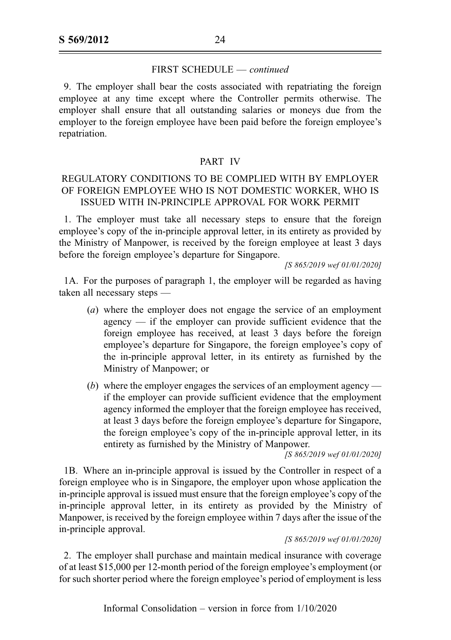9. The employer shall bear the costs associated with repatriating the foreign employee at any time except where the Controller permits otherwise. The employer shall ensure that all outstanding salaries or moneys due from the employer to the foreign employee have been paid before the foreign employee's repatriation.

#### PART IV

## REGULATORY CONDITIONS TO BE COMPLIED WITH BY EMPLOYER OF FOREIGN EMPLOYEE WHO IS NOT DOMESTIC WORKER, WHO IS ISSUED WITH IN-PRINCIPLE APPROVAL FOR WORK PERMIT

1. The employer must take all necessary steps to ensure that the foreign employee's copy of the in-principle approval letter, in its entirety as provided by the Ministry of Manpower, is received by the foreign employee at least 3 days before the foreign employee's departure for Singapore.

[S 865/2019 wef 01/01/2020]

1A. For the purposes of paragraph 1, the employer will be regarded as having taken all necessary steps —

- (a) where the employer does not engage the service of an employment agency — if the employer can provide sufficient evidence that the foreign employee has received, at least 3 days before the foreign employee's departure for Singapore, the foreign employee's copy of the in-principle approval letter, in its entirety as furnished by the Ministry of Manpower; or
- (b) where the employer engages the services of an employment agency if the employer can provide sufficient evidence that the employment agency informed the employer that the foreign employee has received, at least 3 days before the foreign employee's departure for Singapore, the foreign employee's copy of the in-principle approval letter, in its entirety as furnished by the Ministry of Manpower.

[S 865/2019 wef 01/01/2020]

1B. Where an in-principle approval is issued by the Controller in respect of a foreign employee who is in Singapore, the employer upon whose application the in-principle approval is issued must ensure that the foreign employee's copy of the in-principle approval letter, in its entirety as provided by the Ministry of Manpower, is received by the foreign employee within 7 days after the issue of the in-principle approval.

#### [S 865/2019 wef 01/01/2020]

2. The employer shall purchase and maintain medical insurance with coverage of at least \$15,000 per 12-month period of the foreign employee's employment (or for such shorter period where the foreign employee's period of employment is less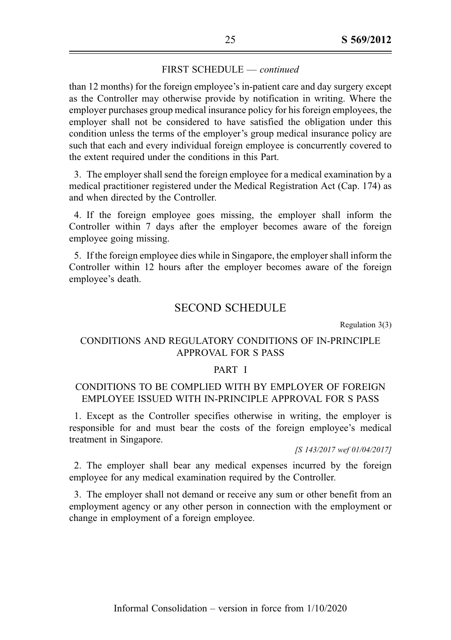than 12 months) for the foreign employee's in-patient care and day surgery except as the Controller may otherwise provide by notification in writing. Where the employer purchases group medical insurance policy for his foreign employees, the employer shall not be considered to have satisfied the obligation under this condition unless the terms of the employer's group medical insurance policy are such that each and every individual foreign employee is concurrently covered to the extent required under the conditions in this Part.

3. The employer shall send the foreign employee for a medical examination by a medical practitioner registered under the Medical Registration Act (Cap. 174) as and when directed by the Controller.

4. If the foreign employee goes missing, the employer shall inform the Controller within 7 days after the employer becomes aware of the foreign employee going missing.

5. If the foreign employee dies while in Singapore, the employer shall inform the Controller within 12 hours after the employer becomes aware of the foreign employee's death.

## SECOND SCHEDULE

Regulation 3(3)

## CONDITIONS AND REGULATORY CONDITIONS OF IN-PRINCIPLE APPROVAL FOR S PASS

#### PART I

### CONDITIONS TO BE COMPLIED WITH BY EMPLOYER OF FOREIGN EMPLOYEE ISSUED WITH IN-PRINCIPLE APPROVAL FOR S PASS

1. Except as the Controller specifies otherwise in writing, the employer is responsible for and must bear the costs of the foreign employee's medical treatment in Singapore.

[S 143/2017 wef 01/04/2017]

2. The employer shall bear any medical expenses incurred by the foreign employee for any medical examination required by the Controller.

3. The employer shall not demand or receive any sum or other benefit from an employment agency or any other person in connection with the employment or change in employment of a foreign employee.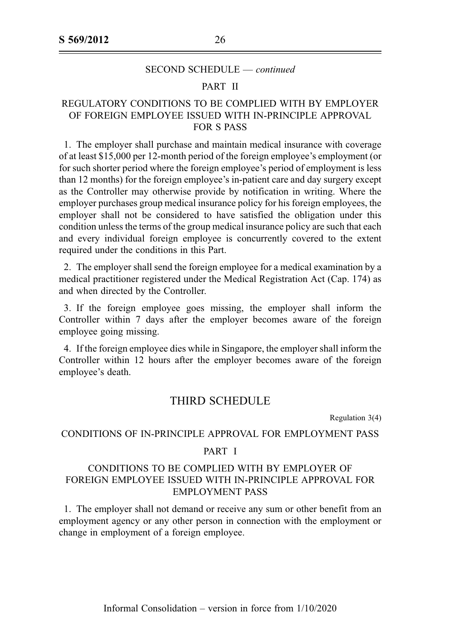#### SECOND SCHEDULE — continued

#### PART II

## REGULATORY CONDITIONS TO BE COMPLIED WITH BY EMPLOYER OF FOREIGN EMPLOYEE ISSUED WITH IN-PRINCIPLE APPROVAL FOR S PASS

1. The employer shall purchase and maintain medical insurance with coverage of at least \$15,000 per 12-month period of the foreign employee's employment (or for such shorter period where the foreign employee's period of employment is less than 12 months) for the foreign employee's in-patient care and day surgery except as the Controller may otherwise provide by notification in writing. Where the employer purchases group medical insurance policy for his foreign employees, the employer shall not be considered to have satisfied the obligation under this condition unless the terms of the group medical insurance policy are such that each and every individual foreign employee is concurrently covered to the extent required under the conditions in this Part.

2. The employer shall send the foreign employee for a medical examination by a medical practitioner registered under the Medical Registration Act (Cap. 174) as and when directed by the Controller.

3. If the foreign employee goes missing, the employer shall inform the Controller within 7 days after the employer becomes aware of the foreign employee going missing.

4. If the foreign employee dies while in Singapore, the employer shall inform the Controller within 12 hours after the employer becomes aware of the foreign employee's death.

### THIRD SCHEDULE

Regulation 3(4)

#### CONDITIONS OF IN-PRINCIPLE APPROVAL FOR EMPLOYMENT PASS

#### PART I

### CONDITIONS TO BE COMPLIED WITH BY EMPLOYER OF FOREIGN EMPLOYEE ISSUED WITH IN-PRINCIPLE APPROVAL FOR EMPLOYMENT PASS

1. The employer shall not demand or receive any sum or other benefit from an employment agency or any other person in connection with the employment or change in employment of a foreign employee.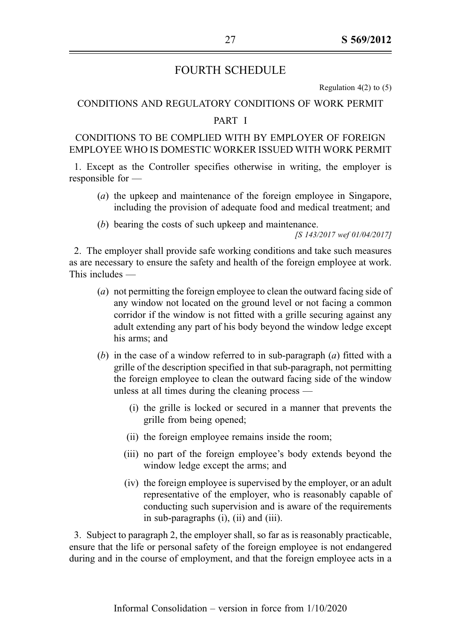# FOURTH SCHEDULE

Regulation  $4(2)$  to  $(5)$ 

### CONDITIONS AND REGULATORY CONDITIONS OF WORK PERMIT

#### PART I

## CONDITIONS TO BE COMPLIED WITH BY EMPLOYER OF FOREIGN EMPLOYEE WHO IS DOMESTIC WORKER ISSUED WITH WORK PERMIT

1. Except as the Controller specifies otherwise in writing, the employer is responsible for —

- (a) the upkeep and maintenance of the foreign employee in Singapore, including the provision of adequate food and medical treatment; and
- (b) bearing the costs of such upkeep and maintenance.

[S 143/2017 wef 01/04/2017]

2. The employer shall provide safe working conditions and take such measures as are necessary to ensure the safety and health of the foreign employee at work. This includes —

- (a) not permitting the foreign employee to clean the outward facing side of any window not located on the ground level or not facing a common corridor if the window is not fitted with a grille securing against any adult extending any part of his body beyond the window ledge except his arms; and
- (b) in the case of a window referred to in sub-paragraph  $(a)$  fitted with a grille of the description specified in that sub-paragraph, not permitting the foreign employee to clean the outward facing side of the window unless at all times during the cleaning process —
	- (i) the grille is locked or secured in a manner that prevents the grille from being opened;
	- (ii) the foreign employee remains inside the room;
	- (iii) no part of the foreign employee's body extends beyond the window ledge except the arms; and
	- (iv) the foreign employee is supervised by the employer, or an adult representative of the employer, who is reasonably capable of conducting such supervision and is aware of the requirements in sub-paragraphs (i), (ii) and (iii).

3. Subject to paragraph 2, the employer shall, so far as is reasonably practicable, ensure that the life or personal safety of the foreign employee is not endangered during and in the course of employment, and that the foreign employee acts in a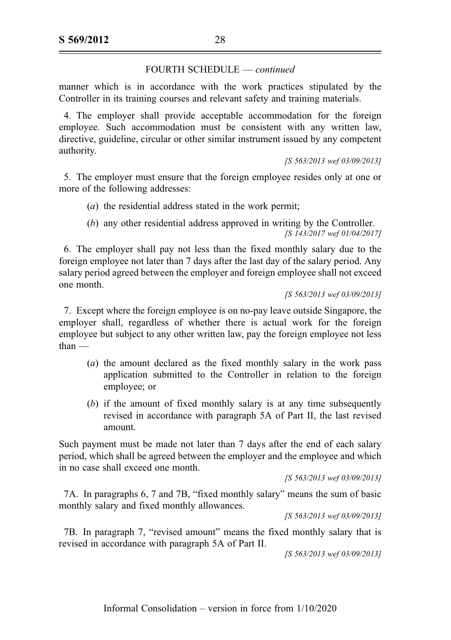manner which is in accordance with the work practices stipulated by the Controller in its training courses and relevant safety and training materials.

4. The employer shall provide acceptable accommodation for the foreign employee. Such accommodation must be consistent with any written law, directive, guideline, circular or other similar instrument issued by any competent authority.

[S 563/2013 wef 03/09/2013]

5. The employer must ensure that the foreign employee resides only at one or more of the following addresses:

- (a) the residential address stated in the work permit;
- (b) any other residential address approved in writing by the Controller. [S 143/2017 wef 01/04/2017]

6. The employer shall pay not less than the fixed monthly salary due to the foreign employee not later than 7 days after the last day of the salary period. Any salary period agreed between the employer and foreign employee shall not exceed one month.

#### [S 563/2013 wef 03/09/2013]

7. Except where the foreign employee is on no-pay leave outside Singapore, the employer shall, regardless of whether there is actual work for the foreign employee but subject to any other written law, pay the foreign employee not less than —

- (a) the amount declared as the fixed monthly salary in the work pass application submitted to the Controller in relation to the foreign employee; or
- (b) if the amount of fixed monthly salary is at any time subsequently revised in accordance with paragraph 5A of Part II, the last revised amount.

Such payment must be made not later than 7 days after the end of each salary period, which shall be agreed between the employer and the employee and which in no case shall exceed one month.

[S 563/2013 wef 03/09/2013]

7A. In paragraphs 6, 7 and 7B, "fixed monthly salary" means the sum of basic monthly salary and fixed monthly allowances.

[S 563/2013 wef 03/09/2013]

7B. In paragraph 7, "revised amount" means the fixed monthly salary that is revised in accordance with paragraph 5A of Part II.

[S 563/2013 wef 03/09/2013]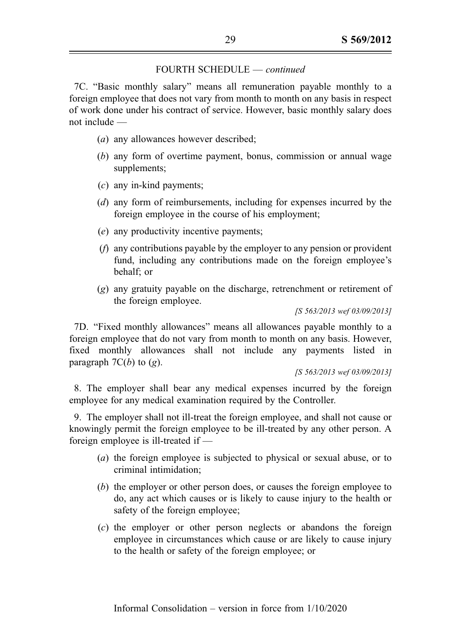7C. "Basic monthly salary" means all remuneration payable monthly to a foreign employee that does not vary from month to month on any basis in respect of work done under his contract of service. However, basic monthly salary does not include —

- (a) any allowances however described;
- (b) any form of overtime payment, bonus, commission or annual wage supplements;
- (c) any in-kind payments;
- (d) any form of reimbursements, including for expenses incurred by the foreign employee in the course of his employment;
- (e) any productivity incentive payments;
- (f) any contributions payable by the employer to any pension or provident fund, including any contributions made on the foreign employee's behalf; or
- (g) any gratuity payable on the discharge, retrenchment or retirement of the foreign employee.

[S 563/2013 wef 03/09/2013]

7D. "Fixed monthly allowances" means all allowances payable monthly to a foreign employee that do not vary from month to month on any basis. However, fixed monthly allowances shall not include any payments listed in paragraph  $7C(b)$  to  $(g)$ .

[S 563/2013 wef 03/09/2013]

8. The employer shall bear any medical expenses incurred by the foreign employee for any medical examination required by the Controller.

9. The employer shall not ill-treat the foreign employee, and shall not cause or knowingly permit the foreign employee to be ill-treated by any other person. A foreign employee is ill-treated if —

- (a) the foreign employee is subjected to physical or sexual abuse, or to criminal intimidation;
- (b) the employer or other person does, or causes the foreign employee to do, any act which causes or is likely to cause injury to the health or safety of the foreign employee;
- (c) the employer or other person neglects or abandons the foreign employee in circumstances which cause or are likely to cause injury to the health or safety of the foreign employee; or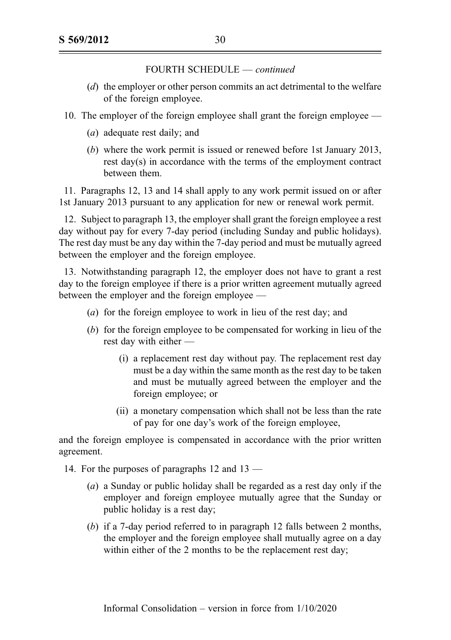- (d) the employer or other person commits an act detrimental to the welfare of the foreign employee.
- 10. The employer of the foreign employee shall grant the foreign employee
	- (a) adequate rest daily; and
	- (b) where the work permit is issued or renewed before 1st January 2013, rest day(s) in accordance with the terms of the employment contract between them.

11. Paragraphs 12, 13 and 14 shall apply to any work permit issued on or after 1st January 2013 pursuant to any application for new or renewal work permit.

12. Subject to paragraph 13, the employer shall grant the foreign employee a rest day without pay for every 7-day period (including Sunday and public holidays). The rest day must be any day within the 7-day period and must be mutually agreed between the employer and the foreign employee.

13. Notwithstanding paragraph 12, the employer does not have to grant a rest day to the foreign employee if there is a prior written agreement mutually agreed between the employer and the foreign employee —

- (a) for the foreign employee to work in lieu of the rest day; and
- (b) for the foreign employee to be compensated for working in lieu of the rest day with either —
	- (i) a replacement rest day without pay. The replacement rest day must be a day within the same month as the rest day to be taken and must be mutually agreed between the employer and the foreign employee; or
	- (ii) a monetary compensation which shall not be less than the rate of pay for one day's work of the foreign employee,

and the foreign employee is compensated in accordance with the prior written agreement.

14. For the purposes of paragraphs 12 and 13 —

- (a) a Sunday or public holiday shall be regarded as a rest day only if the employer and foreign employee mutually agree that the Sunday or public holiday is a rest day;
- (b) if a 7-day period referred to in paragraph 12 falls between 2 months, the employer and the foreign employee shall mutually agree on a day within either of the 2 months to be the replacement rest day;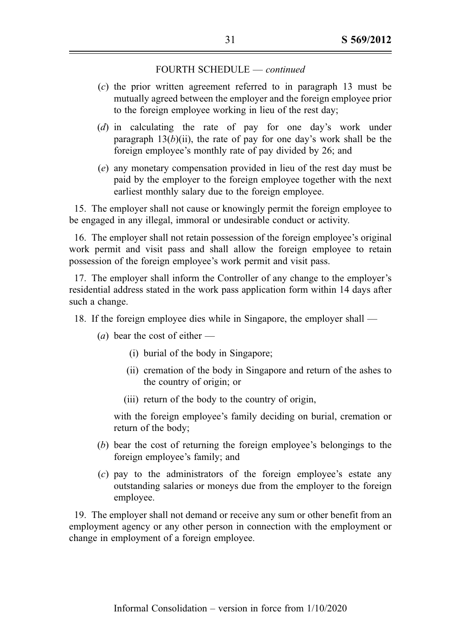- (c) the prior written agreement referred to in paragraph 13 must be mutually agreed between the employer and the foreign employee prior to the foreign employee working in lieu of the rest day;
- (d) in calculating the rate of pay for one day's work under paragraph  $13(b)(ii)$ , the rate of pay for one day's work shall be the foreign employee's monthly rate of pay divided by 26; and
- (e) any monetary compensation provided in lieu of the rest day must be paid by the employer to the foreign employee together with the next earliest monthly salary due to the foreign employee.

15. The employer shall not cause or knowingly permit the foreign employee to be engaged in any illegal, immoral or undesirable conduct or activity.

16. The employer shall not retain possession of the foreign employee's original work permit and visit pass and shall allow the foreign employee to retain possession of the foreign employee's work permit and visit pass.

17. The employer shall inform the Controller of any change to the employer's residential address stated in the work pass application form within 14 days after such a change.

- 18. If the foreign employee dies while in Singapore, the employer shall
	- (*a*) bear the cost of either
		- (i) burial of the body in Singapore;
		- (ii) cremation of the body in Singapore and return of the ashes to the country of origin; or
		- (iii) return of the body to the country of origin,

with the foreign employee's family deciding on burial, cremation or return of the body;

- (b) bear the cost of returning the foreign employee's belongings to the foreign employee's family; and
- (c) pay to the administrators of the foreign employee's estate any outstanding salaries or moneys due from the employer to the foreign employee.

19. The employer shall not demand or receive any sum or other benefit from an employment agency or any other person in connection with the employment or change in employment of a foreign employee.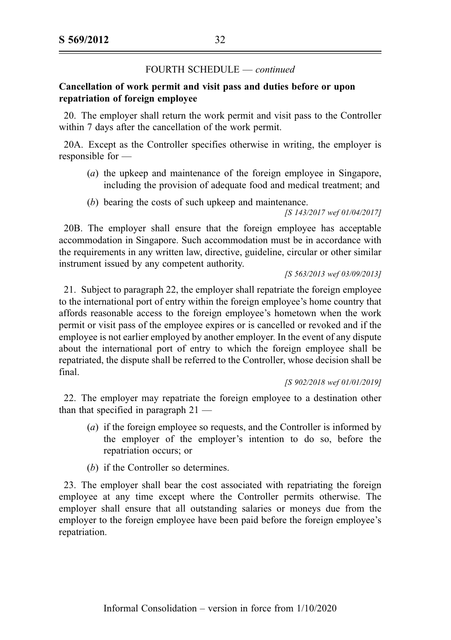### Cancellation of work permit and visit pass and duties before or upon repatriation of foreign employee

20. The employer shall return the work permit and visit pass to the Controller within 7 days after the cancellation of the work permit.

20A. Except as the Controller specifies otherwise in writing, the employer is responsible for —

- (a) the upkeep and maintenance of the foreign employee in Singapore, including the provision of adequate food and medical treatment; and
- (b) bearing the costs of such upkeep and maintenance.

[S 143/2017 wef 01/04/2017]

20B. The employer shall ensure that the foreign employee has acceptable accommodation in Singapore. Such accommodation must be in accordance with the requirements in any written law, directive, guideline, circular or other similar instrument issued by any competent authority.

[S 563/2013 wef 03/09/2013]

21. Subject to paragraph 22, the employer shall repatriate the foreign employee to the international port of entry within the foreign employee's home country that affords reasonable access to the foreign employee's hometown when the work permit or visit pass of the employee expires or is cancelled or revoked and if the employee is not earlier employed by another employer. In the event of any dispute about the international port of entry to which the foreign employee shall be repatriated, the dispute shall be referred to the Controller, whose decision shall be final.

[S 902/2018 wef 01/01/2019]

22. The employer may repatriate the foreign employee to a destination other than that specified in paragraph 21 —

- (a) if the foreign employee so requests, and the Controller is informed by the employer of the employer's intention to do so, before the repatriation occurs; or
- (b) if the Controller so determines.

23. The employer shall bear the cost associated with repatriating the foreign employee at any time except where the Controller permits otherwise. The employer shall ensure that all outstanding salaries or moneys due from the employer to the foreign employee have been paid before the foreign employee's repatriation.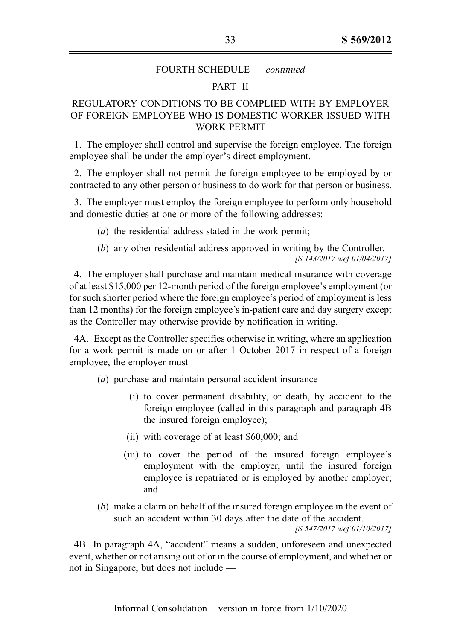#### PART II

## REGULATORY CONDITIONS TO BE COMPLIED WITH BY EMPLOYER OF FOREIGN EMPLOYEE WHO IS DOMESTIC WORKER ISSUED WITH WORK PERMIT

1. The employer shall control and supervise the foreign employee. The foreign employee shall be under the employer's direct employment.

2. The employer shall not permit the foreign employee to be employed by or contracted to any other person or business to do work for that person or business.

3. The employer must employ the foreign employee to perform only household and domestic duties at one or more of the following addresses:

(a) the residential address stated in the work permit;

(b) any other residential address approved in writing by the Controller. [S 143/2017 wef 01/04/2017]

4. The employer shall purchase and maintain medical insurance with coverage of at least \$15,000 per 12-month period of the foreign employee's employment (or for such shorter period where the foreign employee's period of employment is less than 12 months) for the foreign employee's in-patient care and day surgery except as the Controller may otherwise provide by notification in writing.

4A. Except as the Controller specifies otherwise in writing, where an application for a work permit is made on or after 1 October 2017 in respect of a foreign employee, the employer must —

- (a) purchase and maintain personal accident insurance
	- (i) to cover permanent disability, or death, by accident to the foreign employee (called in this paragraph and paragraph 4B the insured foreign employee);
	- (ii) with coverage of at least \$60,000; and
	- (iii) to cover the period of the insured foreign employee's employment with the employer, until the insured foreign employee is repatriated or is employed by another employer; and
- (b) make a claim on behalf of the insured foreign employee in the event of such an accident within 30 days after the date of the accident.

[S 547/2017 wef 01/10/2017]

4B. In paragraph 4A, "accident" means a sudden, unforeseen and unexpected event, whether or not arising out of or in the course of employment, and whether or not in Singapore, but does not include —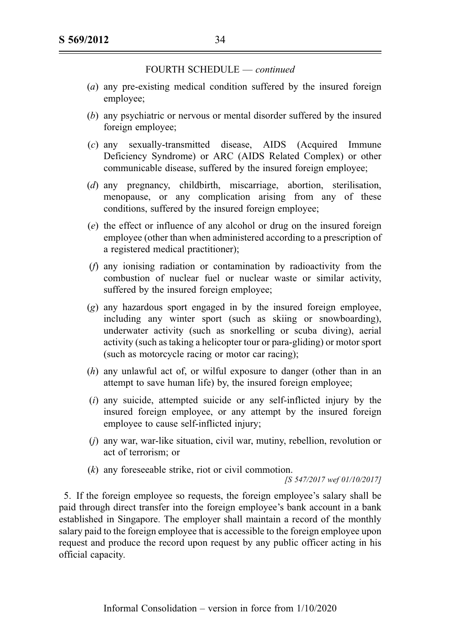- (a) any pre-existing medical condition suffered by the insured foreign employee;
- (b) any psychiatric or nervous or mental disorder suffered by the insured foreign employee;
- (c) any sexually-transmitted disease, AIDS (Acquired Immune Deficiency Syndrome) or ARC (AIDS Related Complex) or other communicable disease, suffered by the insured foreign employee;
- (d) any pregnancy, childbirth, miscarriage, abortion, sterilisation, menopause, or any complication arising from any of these conditions, suffered by the insured foreign employee;
- (e) the effect or influence of any alcohol or drug on the insured foreign employee (other than when administered according to a prescription of a registered medical practitioner);
- (f) any ionising radiation or contamination by radioactivity from the combustion of nuclear fuel or nuclear waste or similar activity, suffered by the insured foreign employee;
- (g) any hazardous sport engaged in by the insured foreign employee, including any winter sport (such as skiing or snowboarding), underwater activity (such as snorkelling or scuba diving), aerial activity (such as taking a helicopter tour or para-gliding) or motor sport (such as motorcycle racing or motor car racing);
- (h) any unlawful act of, or wilful exposure to danger (other than in an attempt to save human life) by, the insured foreign employee;
- $(i)$  any suicide, attempted suicide or any self-inflicted injury by the insured foreign employee, or any attempt by the insured foreign employee to cause self-inflicted injury;
- (j) any war, war-like situation, civil war, mutiny, rebellion, revolution or act of terrorism; or
- (k) any foreseeable strike, riot or civil commotion.

[S 547/2017 wef 01/10/2017]

5. If the foreign employee so requests, the foreign employee's salary shall be paid through direct transfer into the foreign employee's bank account in a bank established in Singapore. The employer shall maintain a record of the monthly salary paid to the foreign employee that is accessible to the foreign employee upon request and produce the record upon request by any public officer acting in his official capacity.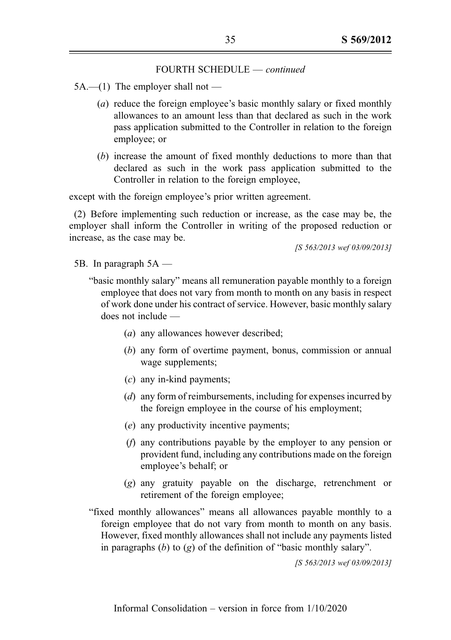- $5A.$ —(1) The employer shall not
	- (a) reduce the foreign employee's basic monthly salary or fixed monthly allowances to an amount less than that declared as such in the work pass application submitted to the Controller in relation to the foreign employee; or
	- (b) increase the amount of fixed monthly deductions to more than that declared as such in the work pass application submitted to the Controller in relation to the foreign employee,

except with the foreign employee's prior written agreement.

(2) Before implementing such reduction or increase, as the case may be, the employer shall inform the Controller in writing of the proposed reduction or increase, as the case may be.

[S 563/2013 wef 03/09/2013]

- 5B. In paragraph 5A
	- "basic monthly salary" means all remuneration payable monthly to a foreign employee that does not vary from month to month on any basis in respect of work done under his contract of service. However, basic monthly salary does not include —
		- (a) any allowances however described;
		- (b) any form of overtime payment, bonus, commission or annual wage supplements;
		- (c) any in-kind payments;
		- (d) any form of reimbursements, including for expenses incurred by the foreign employee in the course of his employment;
		- (e) any productivity incentive payments;
		- (f) any contributions payable by the employer to any pension or provident fund, including any contributions made on the foreign employee's behalf; or
		- (g) any gratuity payable on the discharge, retrenchment or retirement of the foreign employee;
	- "fixed monthly allowances" means all allowances payable monthly to a foreign employee that do not vary from month to month on any basis. However, fixed monthly allowances shall not include any payments listed in paragraphs  $(b)$  to  $(g)$  of the definition of "basic monthly salary".

[S 563/2013 wef 03/09/2013]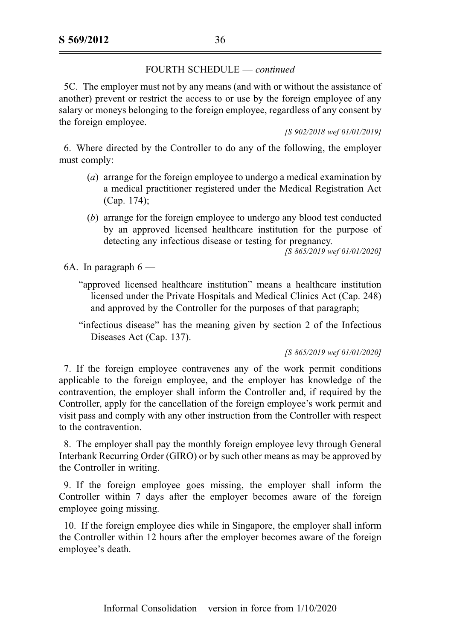5C. The employer must not by any means (and with or without the assistance of another) prevent or restrict the access to or use by the foreign employee of any salary or moneys belonging to the foreign employee, regardless of any consent by the foreign employee.

[S 902/2018 wef 01/01/2019]

6. Where directed by the Controller to do any of the following, the employer must comply:

- (a) arrange for the foreign employee to undergo a medical examination by a medical practitioner registered under the Medical Registration Act (Cap. 174);
- (b) arrange for the foreign employee to undergo any blood test conducted by an approved licensed healthcare institution for the purpose of detecting any infectious disease or testing for pregnancy.

 $\sqrt{S}$  865/2019 wef 01/01/2020]

6A. In paragraph  $6$  —

- "approved licensed healthcare institution" means a healthcare institution licensed under the Private Hospitals and Medical Clinics Act (Cap. 248) and approved by the Controller for the purposes of that paragraph;
- "infectious disease" has the meaning given by section 2 of the Infectious Diseases Act (Cap. 137).

[S 865/2019 wef 01/01/2020]

7. If the foreign employee contravenes any of the work permit conditions applicable to the foreign employee, and the employer has knowledge of the contravention, the employer shall inform the Controller and, if required by the Controller, apply for the cancellation of the foreign employee's work permit and visit pass and comply with any other instruction from the Controller with respect to the contravention.

8. The employer shall pay the monthly foreign employee levy through General Interbank Recurring Order (GIRO) or by such other means as may be approved by the Controller in writing.

9. If the foreign employee goes missing, the employer shall inform the Controller within 7 days after the employer becomes aware of the foreign employee going missing.

10. If the foreign employee dies while in Singapore, the employer shall inform the Controller within 12 hours after the employer becomes aware of the foreign employee's death.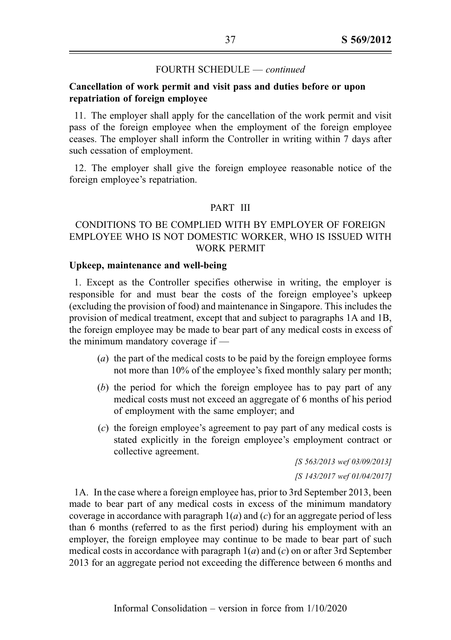# Cancellation of work permit and visit pass and duties before or upon repatriation of foreign employee

11. The employer shall apply for the cancellation of the work permit and visit pass of the foreign employee when the employment of the foreign employee ceases. The employer shall inform the Controller in writing within 7 days after such cessation of employment.

12. The employer shall give the foreign employee reasonable notice of the foreign employee's repatriation.

## PART III

# CONDITIONS TO BE COMPLIED WITH BY EMPLOYER OF FOREIGN EMPLOYEE WHO IS NOT DOMESTIC WORKER, WHO IS ISSUED WITH WORK PERMIT

## Upkeep, maintenance and well-being

1. Except as the Controller specifies otherwise in writing, the employer is responsible for and must bear the costs of the foreign employee's upkeep (excluding the provision of food) and maintenance in Singapore. This includes the provision of medical treatment, except that and subject to paragraphs 1A and 1B, the foreign employee may be made to bear part of any medical costs in excess of the minimum mandatory coverage if —

- (a) the part of the medical costs to be paid by the foreign employee forms not more than 10% of the employee's fixed monthly salary per month;
- (b) the period for which the foreign employee has to pay part of any medical costs must not exceed an aggregate of 6 months of his period of employment with the same employer; and
- (c) the foreign employee's agreement to pay part of any medical costs is stated explicitly in the foreign employee's employment contract or collective agreement.

[S 563/2013 wef 03/09/2013] [S 143/2017 wef 01/04/2017]

1A. In the case where a foreign employee has, prior to 3rd September 2013, been made to bear part of any medical costs in excess of the minimum mandatory coverage in accordance with paragraph  $1(a)$  and (c) for an aggregate period of less than 6 months (referred to as the first period) during his employment with an employer, the foreign employee may continue to be made to bear part of such medical costs in accordance with paragraph  $1(a)$  and  $(c)$  on or after 3rd September 2013 for an aggregate period not exceeding the difference between 6 months and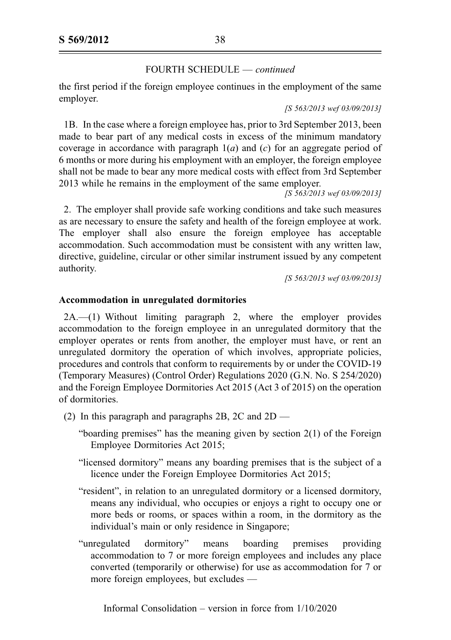the first period if the foreign employee continues in the employment of the same employer.

[S 563/2013 wef 03/09/2013]

1B. In the case where a foreign employee has, prior to 3rd September 2013, been made to bear part of any medical costs in excess of the minimum mandatory coverage in accordance with paragraph  $1(a)$  and  $(c)$  for an aggregate period of 6 months or more during his employment with an employer, the foreign employee shall not be made to bear any more medical costs with effect from 3rd September 2013 while he remains in the employment of the same employer.

[S 563/2013 wef 03/09/2013]

2. The employer shall provide safe working conditions and take such measures as are necessary to ensure the safety and health of the foreign employee at work. The employer shall also ensure the foreign employee has acceptable accommodation. Such accommodation must be consistent with any written law, directive, guideline, circular or other similar instrument issued by any competent authority.

[S 563/2013 wef 03/09/2013]

# Accommodation in unregulated dormitories

2A.—(1) Without limiting paragraph 2, where the employer provides accommodation to the foreign employee in an unregulated dormitory that the employer operates or rents from another, the employer must have, or rent an unregulated dormitory the operation of which involves, appropriate policies, procedures and controls that conform to requirements by or under the COVID-19 (Temporary Measures) (Control Order) Regulations 2020 (G.N. No. S 254/2020) and the Foreign Employee Dormitories Act 2015 (Act 3 of 2015) on the operation of dormitories.

- (2) In this paragraph and paragraphs 2B, 2C and 2D
	- "boarding premises" has the meaning given by section 2(1) of the Foreign Employee Dormitories Act 2015;
	- "licensed dormitory" means any boarding premises that is the subject of a licence under the Foreign Employee Dormitories Act 2015;
	- "resident", in relation to an unregulated dormitory or a licensed dormitory, means any individual, who occupies or enjoys a right to occupy one or more beds or rooms, or spaces within a room, in the dormitory as the individual's main or only residence in Singapore;
	- "unregulated dormitory" means boarding premises providing accommodation to 7 or more foreign employees and includes any place converted (temporarily or otherwise) for use as accommodation for 7 or more foreign employees, but excludes —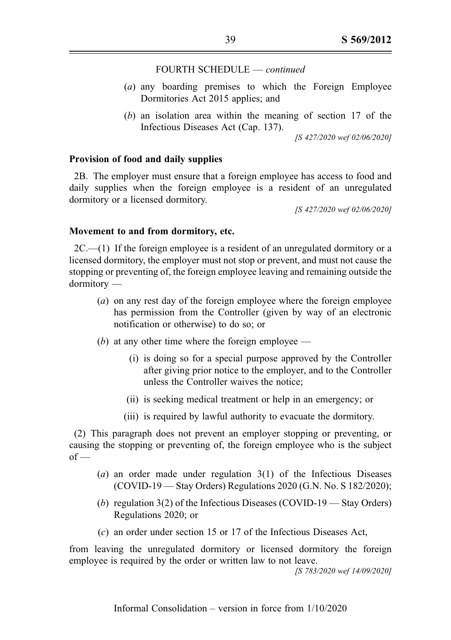- (a) any boarding premises to which the Foreign Employee Dormitories Act 2015 applies; and
- (b) an isolation area within the meaning of section 17 of the Infectious Diseases Act (Cap. 137).

[S 427/2020 wef 02/06/2020]

#### Provision of food and daily supplies

2B. The employer must ensure that a foreign employee has access to food and daily supplies when the foreign employee is a resident of an unregulated dormitory or a licensed dormitory.

[S 427/2020 wef 02/06/2020]

#### Movement to and from dormitory, etc.

 $2C$ .—(1) If the foreign employee is a resident of an unregulated dormitory or a licensed dormitory, the employer must not stop or prevent, and must not cause the stopping or preventing of, the foreign employee leaving and remaining outside the dormitory —

- (a) on any rest day of the foreign employee where the foreign employee has permission from the Controller (given by way of an electronic notification or otherwise) to do so; or
- (b) at any other time where the foreign employee
	- (i) is doing so for a special purpose approved by the Controller after giving prior notice to the employer, and to the Controller unless the Controller waives the notice;
	- (ii) is seeking medical treatment or help in an emergency; or
	- (iii) is required by lawful authority to evacuate the dormitory.

(2) This paragraph does not prevent an employer stopping or preventing, or causing the stopping or preventing of, the foreign employee who is the subject  $of -$ 

- (a) an order made under regulation  $3(1)$  of the Infectious Diseases (COVID-19 — Stay Orders) Regulations 2020 (G.N. No. S 182/2020);
- (b) regulation  $3(2)$  of the Infectious Diseases (COVID-19 Stay Orders) Regulations 2020; or
- (c) an order under section 15 or 17 of the Infectious Diseases Act,

from leaving the unregulated dormitory or licensed dormitory the foreign employee is required by the order or written law to not leave.

[S 783/2020 wef 14/09/2020]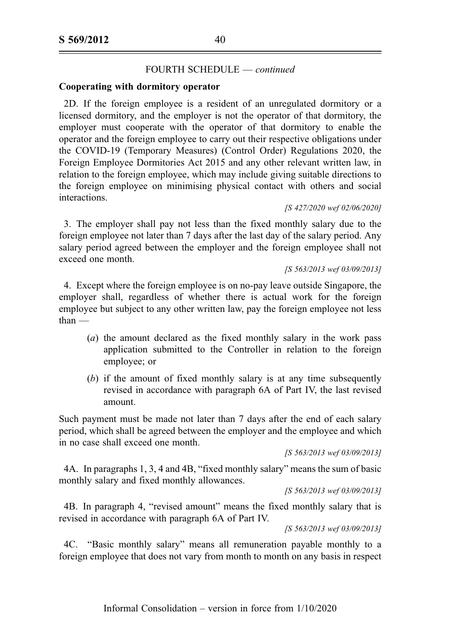### Cooperating with dormitory operator

2D. If the foreign employee is a resident of an unregulated dormitory or a licensed dormitory, and the employer is not the operator of that dormitory, the employer must cooperate with the operator of that dormitory to enable the operator and the foreign employee to carry out their respective obligations under the COVID-19 (Temporary Measures) (Control Order) Regulations 2020, the Foreign Employee Dormitories Act 2015 and any other relevant written law, in relation to the foreign employee, which may include giving suitable directions to the foreign employee on minimising physical contact with others and social interactions.

#### [S 427/2020 wef 02/06/2020]

3. The employer shall pay not less than the fixed monthly salary due to the foreign employee not later than 7 days after the last day of the salary period. Any salary period agreed between the employer and the foreign employee shall not exceed one month.

#### [S 563/2013 wef 03/09/2013]

4. Except where the foreign employee is on no-pay leave outside Singapore, the employer shall, regardless of whether there is actual work for the foreign employee but subject to any other written law, pay the foreign employee not less than —

- (a) the amount declared as the fixed monthly salary in the work pass application submitted to the Controller in relation to the foreign employee; or
- (b) if the amount of fixed monthly salary is at any time subsequently revised in accordance with paragraph 6A of Part IV, the last revised amount.

Such payment must be made not later than 7 days after the end of each salary period, which shall be agreed between the employer and the employee and which in no case shall exceed one month.

```
[S 563/2013 wef 03/09/2013]
```
4A. In paragraphs 1, 3, 4 and 4B, "fixed monthly salary" means the sum of basic monthly salary and fixed monthly allowances.

[S 563/2013 wef 03/09/2013]

4B. In paragraph 4, "revised amount" means the fixed monthly salary that is revised in accordance with paragraph 6A of Part IV.

[S 563/2013 wef 03/09/2013]

4C. "Basic monthly salary" means all remuneration payable monthly to a foreign employee that does not vary from month to month on any basis in respect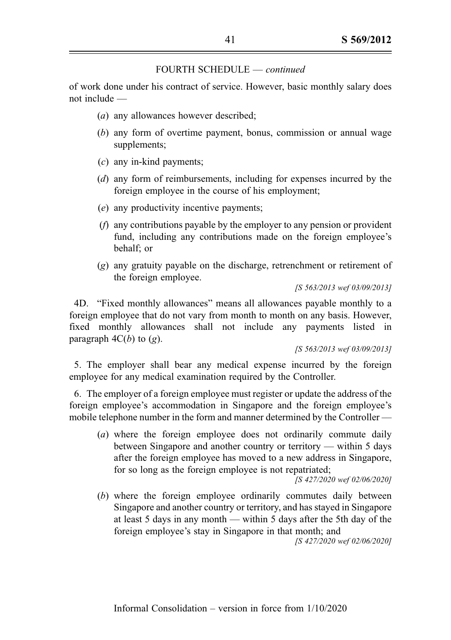of work done under his contract of service. However, basic monthly salary does not include —

- (a) any allowances however described;
- (b) any form of overtime payment, bonus, commission or annual wage supplements;
- $(c)$  any in-kind payments:
- (d) any form of reimbursements, including for expenses incurred by the foreign employee in the course of his employment;
- (e) any productivity incentive payments;
- (f) any contributions payable by the employer to any pension or provident fund, including any contributions made on the foreign employee's behalf; or
- (g) any gratuity payable on the discharge, retrenchment or retirement of the foreign employee.

[S 563/2013 wef 03/09/2013]

4D. "Fixed monthly allowances" means all allowances payable monthly to a foreign employee that do not vary from month to month on any basis. However, fixed monthly allowances shall not include any payments listed in paragraph  $4C(b)$  to  $(g)$ .

[S 563/2013 wef 03/09/2013]

5. The employer shall bear any medical expense incurred by the foreign employee for any medical examination required by the Controller.

6. The employer of a foreign employee must register or update the address of the foreign employee's accommodation in Singapore and the foreign employee's mobile telephone number in the form and manner determined by the Controller —

(a) where the foreign employee does not ordinarily commute daily between Singapore and another country or territory — within 5 days after the foreign employee has moved to a new address in Singapore, for so long as the foreign employee is not repatriated;

[S 427/2020 wef 02/06/2020]

(b) where the foreign employee ordinarily commutes daily between Singapore and another country or territory, and has stayed in Singapore at least 5 days in any month — within 5 days after the 5th day of the foreign employee's stay in Singapore in that month; and

[S 427/2020 wef 02/06/2020]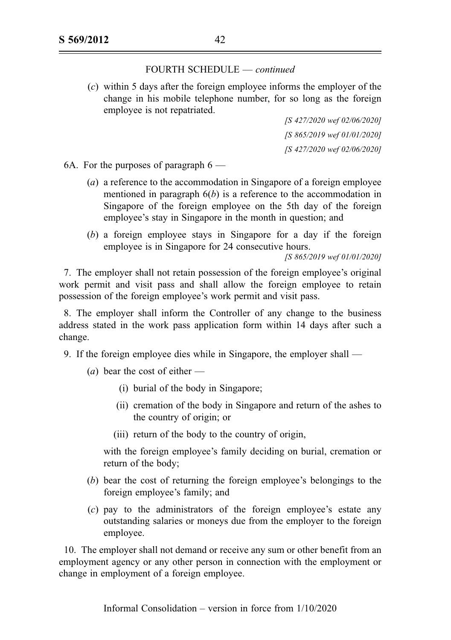(c) within 5 days after the foreign employee informs the employer of the change in his mobile telephone number, for so long as the foreign employee is not repatriated.

> [S 427/2020 wef 02/06/2020] [S 865/2019 wef 01/01/2020] [S 427/2020 wef 02/06/2020]

6A. For the purposes of paragraph  $6$  —

- (a) a reference to the accommodation in Singapore of a foreign employee mentioned in paragraph  $6(b)$  is a reference to the accommodation in Singapore of the foreign employee on the 5th day of the foreign employee's stay in Singapore in the month in question; and
- (b) a foreign employee stays in Singapore for a day if the foreign employee is in Singapore for 24 consecutive hours.

[S 865/2019 wef 01/01/2020]

7. The employer shall not retain possession of the foreign employee's original work permit and visit pass and shall allow the foreign employee to retain possession of the foreign employee's work permit and visit pass.

8. The employer shall inform the Controller of any change to the business address stated in the work pass application form within 14 days after such a change.

- 9. If the foreign employee dies while in Singapore, the employer shall
	- (*a*) bear the cost of either  $-$ 
		- (i) burial of the body in Singapore;
		- (ii) cremation of the body in Singapore and return of the ashes to the country of origin; or
		- (iii) return of the body to the country of origin,

with the foreign employee's family deciding on burial, cremation or return of the body;

- (b) bear the cost of returning the foreign employee's belongings to the foreign employee's family; and
- (c) pay to the administrators of the foreign employee's estate any outstanding salaries or moneys due from the employer to the foreign employee.

10. The employer shall not demand or receive any sum or other benefit from an employment agency or any other person in connection with the employment or change in employment of a foreign employee.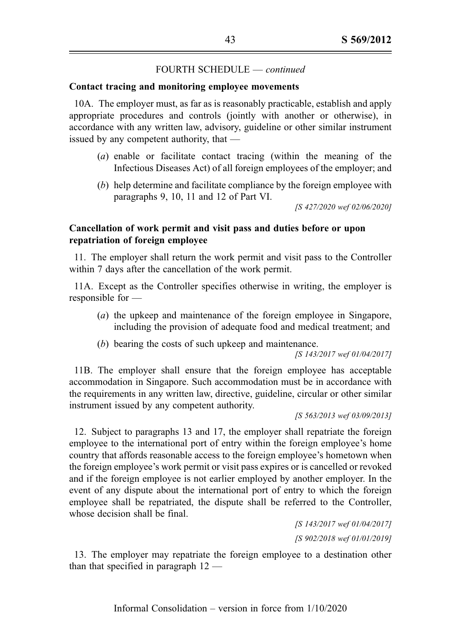## Contact tracing and monitoring employee movements

10A. The employer must, as far as is reasonably practicable, establish and apply appropriate procedures and controls (jointly with another or otherwise), in accordance with any written law, advisory, guideline or other similar instrument issued by any competent authority, that —

- (a) enable or facilitate contact tracing (within the meaning of the Infectious Diseases Act) of all foreign employees of the employer; and
- (b) help determine and facilitate compliance by the foreign employee with paragraphs 9, 10, 11 and 12 of Part VI.

[S 427/2020 wef 02/06/2020]

# Cancellation of work permit and visit pass and duties before or upon repatriation of foreign employee

11. The employer shall return the work permit and visit pass to the Controller within 7 days after the cancellation of the work permit.

11A. Except as the Controller specifies otherwise in writing, the employer is responsible for —

- (a) the upkeep and maintenance of the foreign employee in Singapore, including the provision of adequate food and medical treatment; and
- (b) bearing the costs of such upkeep and maintenance.

[S 143/2017 wef 01/04/2017]

11B. The employer shall ensure that the foreign employee has acceptable accommodation in Singapore. Such accommodation must be in accordance with the requirements in any written law, directive, guideline, circular or other similar instrument issued by any competent authority.

#### [S 563/2013 wef 03/09/2013]

12. Subject to paragraphs 13 and 17, the employer shall repatriate the foreign employee to the international port of entry within the foreign employee's home country that affords reasonable access to the foreign employee's hometown when the foreign employee's work permit or visit pass expires or is cancelled or revoked and if the foreign employee is not earlier employed by another employer. In the event of any dispute about the international port of entry to which the foreign employee shall be repatriated, the dispute shall be referred to the Controller, whose decision shall be final.

> [S 143/2017 wef 01/04/2017] [S 902/2018 wef 01/01/2019]

13. The employer may repatriate the foreign employee to a destination other than that specified in paragraph 12 —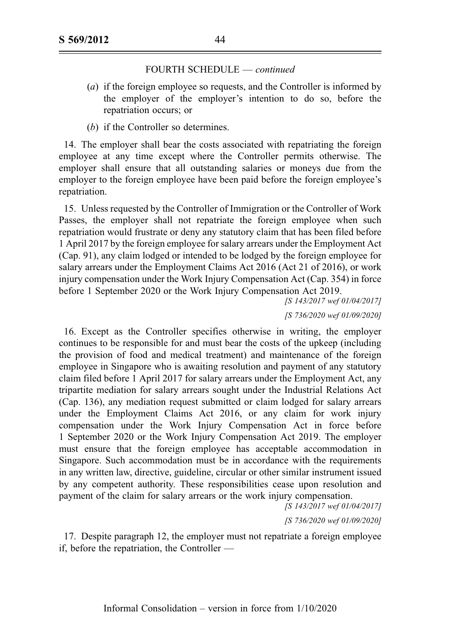- (a) if the foreign employee so requests, and the Controller is informed by the employer of the employer's intention to do so, before the repatriation occurs; or
- (b) if the Controller so determines.

14. The employer shall bear the costs associated with repatriating the foreign employee at any time except where the Controller permits otherwise. The employer shall ensure that all outstanding salaries or moneys due from the employer to the foreign employee have been paid before the foreign employee's repatriation.

15. Unless requested by the Controller of Immigration or the Controller of Work Passes, the employer shall not repatriate the foreign employee when such repatriation would frustrate or deny any statutory claim that has been filed before 1 April 2017 by the foreign employee for salary arrears under the Employment Act (Cap. 91), any claim lodged or intended to be lodged by the foreign employee for salary arrears under the Employment Claims Act 2016 (Act 21 of 2016), or work injury compensation under the Work Injury Compensation Act (Cap. 354) in force before 1 September 2020 or the Work Injury Compensation Act 2019.

[S 143/2017 wef 01/04/2017]

[S 736/2020 wef 01/09/2020]

16. Except as the Controller specifies otherwise in writing, the employer continues to be responsible for and must bear the costs of the upkeep (including the provision of food and medical treatment) and maintenance of the foreign employee in Singapore who is awaiting resolution and payment of any statutory claim filed before 1 April 2017 for salary arrears under the Employment Act, any tripartite mediation for salary arrears sought under the Industrial Relations Act (Cap. 136), any mediation request submitted or claim lodged for salary arrears under the Employment Claims Act 2016, or any claim for work injury compensation under the Work Injury Compensation Act in force before 1 September 2020 or the Work Injury Compensation Act 2019. The employer must ensure that the foreign employee has acceptable accommodation in Singapore. Such accommodation must be in accordance with the requirements in any written law, directive, guideline, circular or other similar instrument issued by any competent authority. These responsibilities cease upon resolution and payment of the claim for salary arrears or the work injury compensation.

[S 143/2017 wef 01/04/2017]

[S 736/2020 wef 01/09/2020]

17. Despite paragraph 12, the employer must not repatriate a foreign employee if, before the repatriation, the Controller —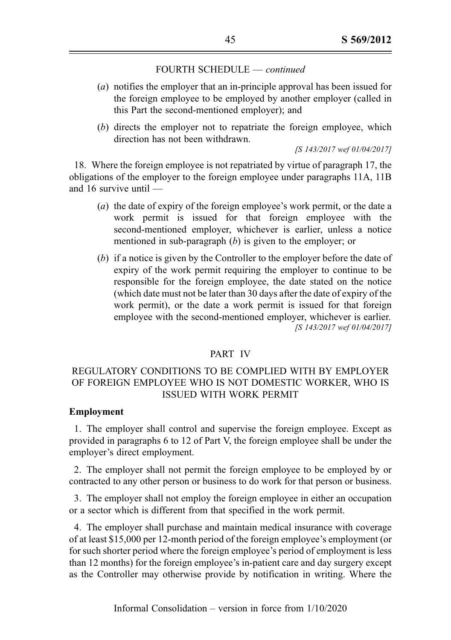- (a) notifies the employer that an in-principle approval has been issued for the foreign employee to be employed by another employer (called in this Part the second-mentioned employer); and
- (b) directs the employer not to repatriate the foreign employee, which direction has not been withdrawn.

[S 143/2017 wef 01/04/2017]

18. Where the foreign employee is not repatriated by virtue of paragraph 17, the obligations of the employer to the foreign employee under paragraphs 11A, 11B and 16 survive until —

- (a) the date of expiry of the foreign employee's work permit, or the date a work permit is issued for that foreign employee with the second-mentioned employer, whichever is earlier, unless a notice mentioned in sub-paragraph  $(b)$  is given to the employer; or
- (b) if a notice is given by the Controller to the employer before the date of expiry of the work permit requiring the employer to continue to be responsible for the foreign employee, the date stated on the notice (which date must not be later than 30 days after the date of expiry of the work permit), or the date a work permit is issued for that foreign employee with the second-mentioned employer, whichever is earlier. [S 143/2017 wef 01/04/2017]

# PART IV

# REGULATORY CONDITIONS TO BE COMPLIED WITH BY EMPLOYER OF FOREIGN EMPLOYEE WHO IS NOT DOMESTIC WORKER, WHO IS ISSUED WITH WORK PERMIT

#### Employment

1. The employer shall control and supervise the foreign employee. Except as provided in paragraphs 6 to 12 of Part V, the foreign employee shall be under the employer's direct employment.

2. The employer shall not permit the foreign employee to be employed by or contracted to any other person or business to do work for that person or business.

3. The employer shall not employ the foreign employee in either an occupation or a sector which is different from that specified in the work permit.

4. The employer shall purchase and maintain medical insurance with coverage of at least \$15,000 per 12-month period of the foreign employee's employment (or for such shorter period where the foreign employee's period of employment is less than 12 months) for the foreign employee's in-patient care and day surgery except as the Controller may otherwise provide by notification in writing. Where the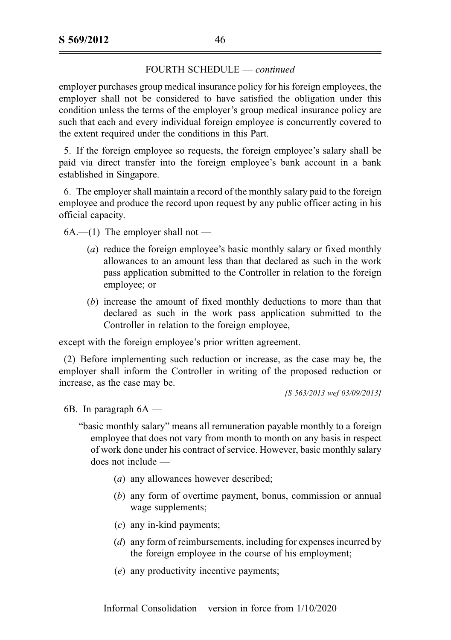employer purchases group medical insurance policy for his foreign employees, the employer shall not be considered to have satisfied the obligation under this condition unless the terms of the employer's group medical insurance policy are such that each and every individual foreign employee is concurrently covered to the extent required under the conditions in this Part.

5. If the foreign employee so requests, the foreign employee's salary shall be paid via direct transfer into the foreign employee's bank account in a bank established in Singapore.

6. The employer shall maintain a record of the monthly salary paid to the foreign employee and produce the record upon request by any public officer acting in his official capacity.

 $6A.$ —(1) The employer shall not —

- (a) reduce the foreign employee's basic monthly salary or fixed monthly allowances to an amount less than that declared as such in the work pass application submitted to the Controller in relation to the foreign employee; or
- (b) increase the amount of fixed monthly deductions to more than that declared as such in the work pass application submitted to the Controller in relation to the foreign employee,

except with the foreign employee's prior written agreement.

(2) Before implementing such reduction or increase, as the case may be, the employer shall inform the Controller in writing of the proposed reduction or increase, as the case may be.

[S 563/2013 wef 03/09/2013]

6B. In paragraph  $6A$  —

"basic monthly salary" means all remuneration payable monthly to a foreign employee that does not vary from month to month on any basis in respect of work done under his contract of service. However, basic monthly salary does not include —

- (a) any allowances however described;
- (b) any form of overtime payment, bonus, commission or annual wage supplements;
- (c) any in-kind payments;
- (d) any form of reimbursements, including for expenses incurred by the foreign employee in the course of his employment;
- (e) any productivity incentive payments;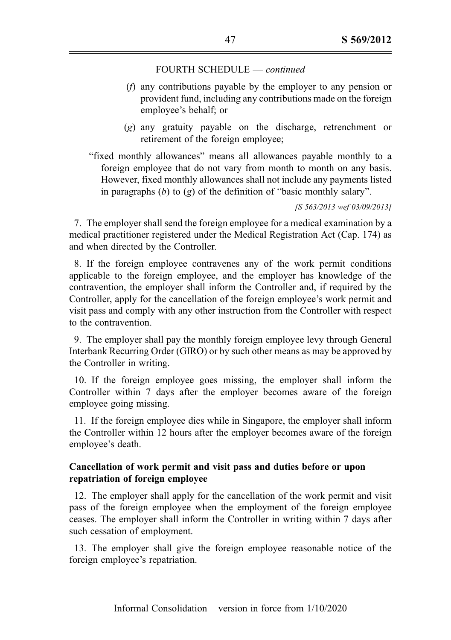- (f) any contributions payable by the employer to any pension or provident fund, including any contributions made on the foreign employee's behalf; or
- (g) any gratuity payable on the discharge, retrenchment or retirement of the foreign employee;

"fixed monthly allowances" means all allowances payable monthly to a foreign employee that do not vary from month to month on any basis. However, fixed monthly allowances shall not include any payments listed in paragraphs  $(b)$  to  $(g)$  of the definition of "basic monthly salary".

[S 563/2013 wef 03/09/2013]

7. The employer shall send the foreign employee for a medical examination by a medical practitioner registered under the Medical Registration Act (Cap. 174) as and when directed by the Controller.

8. If the foreign employee contravenes any of the work permit conditions applicable to the foreign employee, and the employer has knowledge of the contravention, the employer shall inform the Controller and, if required by the Controller, apply for the cancellation of the foreign employee's work permit and visit pass and comply with any other instruction from the Controller with respect to the contravention.

9. The employer shall pay the monthly foreign employee levy through General Interbank Recurring Order (GIRO) or by such other means as may be approved by the Controller in writing.

10. If the foreign employee goes missing, the employer shall inform the Controller within 7 days after the employer becomes aware of the foreign employee going missing.

11. If the foreign employee dies while in Singapore, the employer shall inform the Controller within 12 hours after the employer becomes aware of the foreign employee's death.

## Cancellation of work permit and visit pass and duties before or upon repatriation of foreign employee

12. The employer shall apply for the cancellation of the work permit and visit pass of the foreign employee when the employment of the foreign employee ceases. The employer shall inform the Controller in writing within 7 days after such cessation of employment.

13. The employer shall give the foreign employee reasonable notice of the foreign employee's repatriation.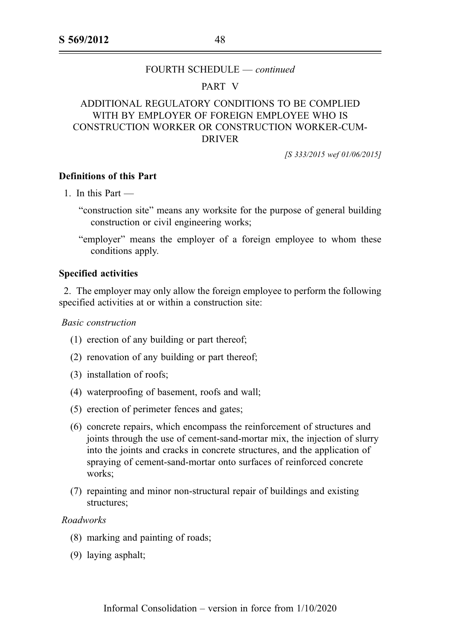### PART V

# ADDITIONAL REGULATORY CONDITIONS TO BE COMPLIED WITH BY EMPLOYER OF FOREIGN EMPLOYEE WHO IS CONSTRUCTION WORKER OR CONSTRUCTION WORKER-CUM-DRIVER

[S 333/2015 wef 01/06/2015]

### Definitions of this Part

1. In this Part —

- "construction site" means any worksite for the purpose of general building construction or civil engineering works;
- "employer" means the employer of a foreign employee to whom these conditions apply.

### Specified activities

2. The employer may only allow the foreign employee to perform the following specified activities at or within a construction site:

Basic construction

- (1) erection of any building or part thereof;
- (2) renovation of any building or part thereof;
- (3) installation of roofs;
- (4) waterproofing of basement, roofs and wall;
- (5) erection of perimeter fences and gates;
- (6) concrete repairs, which encompass the reinforcement of structures and joints through the use of cement-sand-mortar mix, the injection of slurry into the joints and cracks in concrete structures, and the application of spraying of cement-sand-mortar onto surfaces of reinforced concrete works:
- (7) repainting and minor non-structural repair of buildings and existing structures;

# Roadworks

- (8) marking and painting of roads;
- (9) laying asphalt;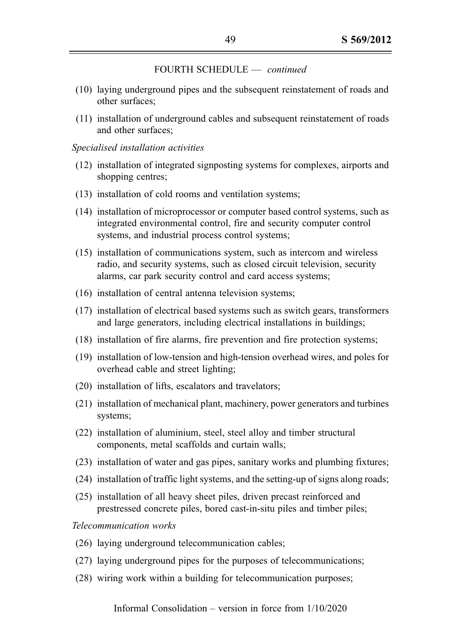- (10) laying underground pipes and the subsequent reinstatement of roads and other surfaces;
- (11) installation of underground cables and subsequent reinstatement of roads and other surfaces;

### Specialised installation activities

- (12) installation of integrated signposting systems for complexes, airports and shopping centres;
- (13) installation of cold rooms and ventilation systems;
- (14) installation of microprocessor or computer based control systems, such as integrated environmental control, fire and security computer control systems, and industrial process control systems;
- (15) installation of communications system, such as intercom and wireless radio, and security systems, such as closed circuit television, security alarms, car park security control and card access systems;
- (16) installation of central antenna television systems;
- (17) installation of electrical based systems such as switch gears, transformers and large generators, including electrical installations in buildings;
- (18) installation of fire alarms, fire prevention and fire protection systems;
- (19) installation of low-tension and high-tension overhead wires, and poles for overhead cable and street lighting;
- (20) installation of lifts, escalators and travelators;
- (21) installation of mechanical plant, machinery, power generators and turbines systems;
- (22) installation of aluminium, steel, steel alloy and timber structural components, metal scaffolds and curtain walls;
- (23) installation of water and gas pipes, sanitary works and plumbing fixtures;
- (24) installation of traffic light systems, and the setting-up of signs along roads;
- (25) installation of all heavy sheet piles, driven precast reinforced and prestressed concrete piles, bored cast-in-situ piles and timber piles;

Telecommunication works

- (26) laying underground telecommunication cables;
- (27) laying underground pipes for the purposes of telecommunications;
- (28) wiring work within a building for telecommunication purposes;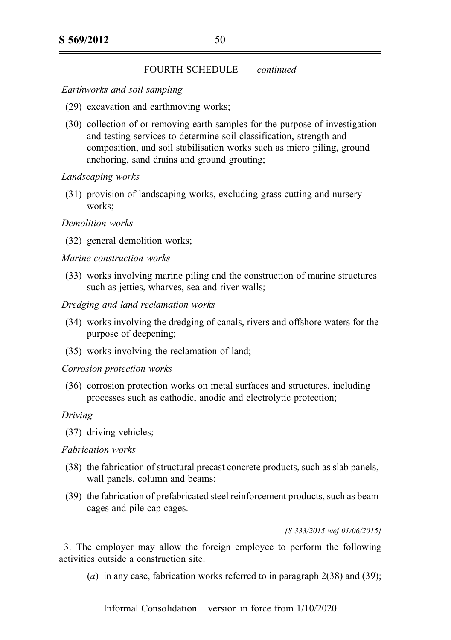## Earthworks and soil sampling

- (29) excavation and earthmoving works;
- (30) collection of or removing earth samples for the purpose of investigation and testing services to determine soil classification, strength and composition, and soil stabilisation works such as micro piling, ground anchoring, sand drains and ground grouting;

## Landscaping works

(31) provision of landscaping works, excluding grass cutting and nursery works;

## Demolition works

(32) general demolition works;

## Marine construction works

(33) works involving marine piling and the construction of marine structures such as jetties, wharves, sea and river walls;

## Dredging and land reclamation works

- (34) works involving the dredging of canals, rivers and offshore waters for the purpose of deepening;
- (35) works involving the reclamation of land;

#### Corrosion protection works

(36) corrosion protection works on metal surfaces and structures, including processes such as cathodic, anodic and electrolytic protection;

#### Driving

(37) driving vehicles;

# Fabrication works

- (38) the fabrication of structural precast concrete products, such as slab panels, wall panels, column and beams;
- (39) the fabrication of prefabricated steel reinforcement products, such as beam cages and pile cap cages.

#### [S 333/2015 wef 01/06/2015]

3. The employer may allow the foreign employee to perform the following activities outside a construction site:

(a) in any case, fabrication works referred to in paragraph  $2(38)$  and  $(39)$ ;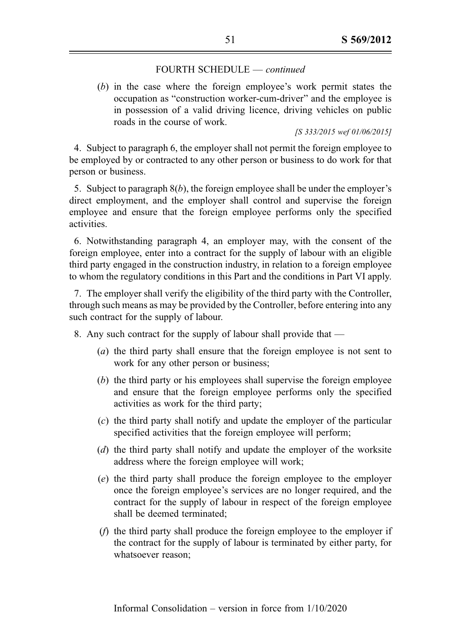(b) in the case where the foreign employee's work permit states the occupation as "construction worker-cum-driver" and the employee is in possession of a valid driving licence, driving vehicles on public roads in the course of work.

#### [S 333/2015 wef 01/06/2015]

4. Subject to paragraph 6, the employer shall not permit the foreign employee to be employed by or contracted to any other person or business to do work for that person or business.

5. Subject to paragraph  $8(b)$ , the foreign employee shall be under the employer's direct employment, and the employer shall control and supervise the foreign employee and ensure that the foreign employee performs only the specified activities.

6. Notwithstanding paragraph 4, an employer may, with the consent of the foreign employee, enter into a contract for the supply of labour with an eligible third party engaged in the construction industry, in relation to a foreign employee to whom the regulatory conditions in this Part and the conditions in Part VI apply.

7. The employer shall verify the eligibility of the third party with the Controller, through such means as may be provided by the Controller, before entering into any such contract for the supply of labour.

8. Any such contract for the supply of labour shall provide that —

- (a) the third party shall ensure that the foreign employee is not sent to work for any other person or business;
- (b) the third party or his employees shall supervise the foreign employee and ensure that the foreign employee performs only the specified activities as work for the third party;
- (c) the third party shall notify and update the employer of the particular specified activities that the foreign employee will perform;
- (d) the third party shall notify and update the employer of the worksite address where the foreign employee will work;
- (e) the third party shall produce the foreign employee to the employer once the foreign employee's services are no longer required, and the contract for the supply of labour in respect of the foreign employee shall be deemed terminated;
- (f) the third party shall produce the foreign employee to the employer if the contract for the supply of labour is terminated by either party, for whatsoever reason;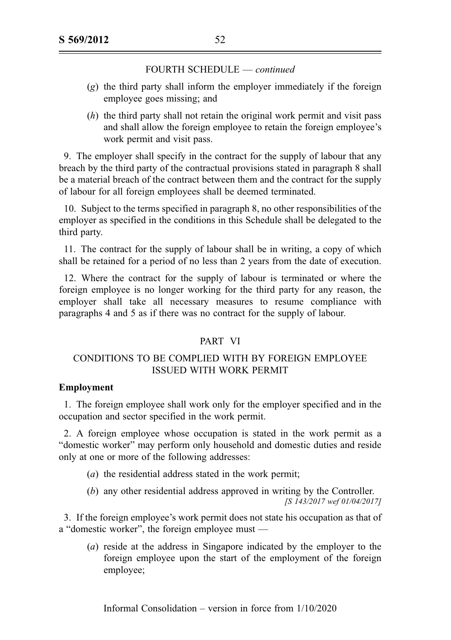- (g) the third party shall inform the employer immediately if the foreign employee goes missing; and
- $(h)$  the third party shall not retain the original work permit and visit pass and shall allow the foreign employee to retain the foreign employee's work permit and visit pass.

9. The employer shall specify in the contract for the supply of labour that any breach by the third party of the contractual provisions stated in paragraph 8 shall be a material breach of the contract between them and the contract for the supply of labour for all foreign employees shall be deemed terminated.

10. Subject to the terms specified in paragraph 8, no other responsibilities of the employer as specified in the conditions in this Schedule shall be delegated to the third party.

11. The contract for the supply of labour shall be in writing, a copy of which shall be retained for a period of no less than 2 years from the date of execution.

12. Where the contract for the supply of labour is terminated or where the foreign employee is no longer working for the third party for any reason, the employer shall take all necessary measures to resume compliance with paragraphs 4 and 5 as if there was no contract for the supply of labour.

# PART VI

# CONDITIONS TO BE COMPLIED WITH BY FOREIGN EMPLOYEE ISSUED WITH WORK PERMIT

# Employment

1. The foreign employee shall work only for the employer specified and in the occupation and sector specified in the work permit.

2. A foreign employee whose occupation is stated in the work permit as a "domestic worker" may perform only household and domestic duties and reside only at one or more of the following addresses:

- (a) the residential address stated in the work permit;
- (b) any other residential address approved in writing by the Controller. [S 143/2017 wef 01/04/2017]

3. If the foreign employee's work permit does not state his occupation as that of a "domestic worker", the foreign employee must —

(a) reside at the address in Singapore indicated by the employer to the foreign employee upon the start of the employment of the foreign employee;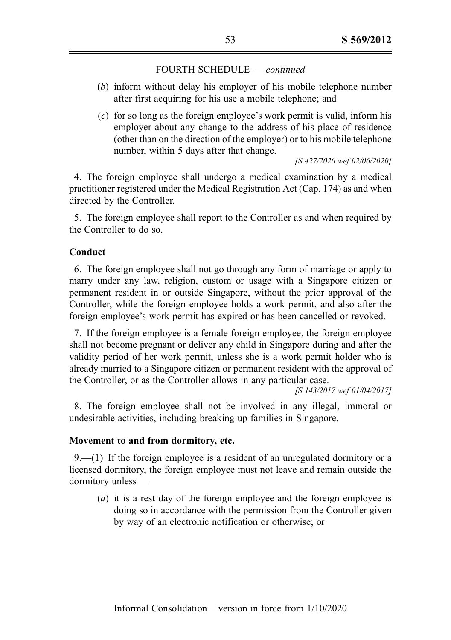- (b) inform without delay his employer of his mobile telephone number after first acquiring for his use a mobile telephone; and
- (c) for so long as the foreign employee's work permit is valid, inform his employer about any change to the address of his place of residence (other than on the direction of the employer) or to his mobile telephone number, within 5 days after that change.

[S 427/2020 wef 02/06/2020]

4. The foreign employee shall undergo a medical examination by a medical practitioner registered under the Medical Registration Act (Cap. 174) as and when directed by the Controller.

5. The foreign employee shall report to the Controller as and when required by the Controller to do so.

## Conduct

6. The foreign employee shall not go through any form of marriage or apply to marry under any law, religion, custom or usage with a Singapore citizen or permanent resident in or outside Singapore, without the prior approval of the Controller, while the foreign employee holds a work permit, and also after the foreign employee's work permit has expired or has been cancelled or revoked.

7. If the foreign employee is a female foreign employee, the foreign employee shall not become pregnant or deliver any child in Singapore during and after the validity period of her work permit, unless she is a work permit holder who is already married to a Singapore citizen or permanent resident with the approval of the Controller, or as the Controller allows in any particular case.

[S 143/2017 wef 01/04/2017]

8. The foreign employee shall not be involved in any illegal, immoral or undesirable activities, including breaking up families in Singapore.

### Movement to and from dormitory, etc.

 $9-(1)$  If the foreign employee is a resident of an unregulated dormitory or a licensed dormitory, the foreign employee must not leave and remain outside the dormitory unless —

(a) it is a rest day of the foreign employee and the foreign employee is doing so in accordance with the permission from the Controller given by way of an electronic notification or otherwise; or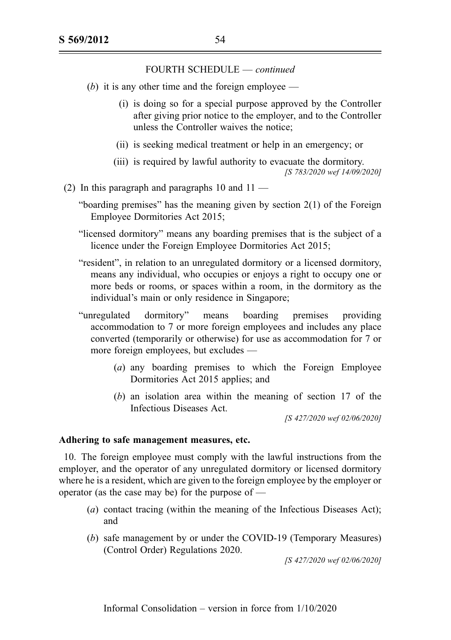- (b) it is any other time and the foreign employee
	- (i) is doing so for a special purpose approved by the Controller after giving prior notice to the employer, and to the Controller unless the Controller waives the notice;
	- (ii) is seeking medical treatment or help in an emergency; or
	- (iii) is required by lawful authority to evacuate the dormitory. [S 783/2020 wef 14/09/2020]
- (2) In this paragraph and paragraphs 10 and  $11 -$ 
	- "boarding premises" has the meaning given by section 2(1) of the Foreign Employee Dormitories Act 2015;
	- "licensed dormitory" means any boarding premises that is the subject of a licence under the Foreign Employee Dormitories Act 2015;
	- "resident", in relation to an unregulated dormitory or a licensed dormitory, means any individual, who occupies or enjoys a right to occupy one or more beds or rooms, or spaces within a room, in the dormitory as the individual's main or only residence in Singapore;
	- "unregulated dormitory" means boarding premises providing accommodation to 7 or more foreign employees and includes any place converted (temporarily or otherwise) for use as accommodation for 7 or more foreign employees, but excludes —
		- (a) any boarding premises to which the Foreign Employee Dormitories Act 2015 applies; and
		- (b) an isolation area within the meaning of section 17 of the Infectious Diseases Act.

[S 427/2020 wef 02/06/2020]

#### Adhering to safe management measures, etc.

10. The foreign employee must comply with the lawful instructions from the employer, and the operator of any unregulated dormitory or licensed dormitory where he is a resident, which are given to the foreign employee by the employer or operator (as the case may be) for the purpose of —

- (a) contact tracing (within the meaning of the Infectious Diseases Act); and
- (b) safe management by or under the COVID-19 (Temporary Measures) (Control Order) Regulations 2020.

[S 427/2020 wef 02/06/2020]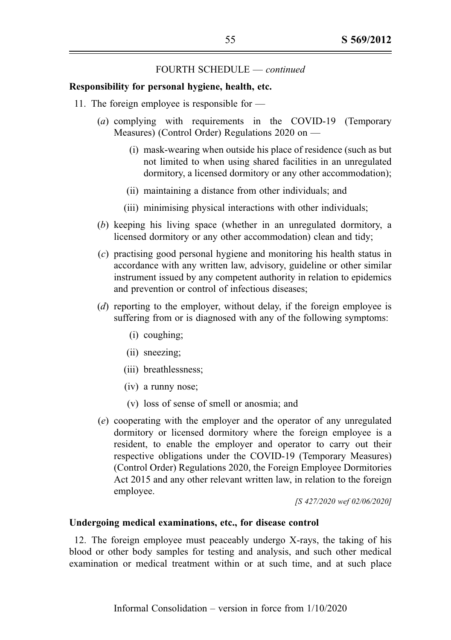#### Responsibility for personal hygiene, health, etc.

- 11. The foreign employee is responsible for
	- (a) complying with requirements in the COVID-19 (Temporary Measures) (Control Order) Regulations 2020 on —
		- (i) mask-wearing when outside his place of residence (such as but not limited to when using shared facilities in an unregulated dormitory, a licensed dormitory or any other accommodation);
		- (ii) maintaining a distance from other individuals; and
		- (iii) minimising physical interactions with other individuals;
	- (b) keeping his living space (whether in an unregulated dormitory, a licensed dormitory or any other accommodation) clean and tidy;
	- (c) practising good personal hygiene and monitoring his health status in accordance with any written law, advisory, guideline or other similar instrument issued by any competent authority in relation to epidemics and prevention or control of infectious diseases;
	- (d) reporting to the employer, without delay, if the foreign employee is suffering from or is diagnosed with any of the following symptoms:
		- (i) coughing;
		- (ii) sneezing;
		- (iii) breathlessness;
		- (iv) a runny nose;
		- (v) loss of sense of smell or anosmia; and
	- (e) cooperating with the employer and the operator of any unregulated dormitory or licensed dormitory where the foreign employee is a resident, to enable the employer and operator to carry out their respective obligations under the COVID-19 (Temporary Measures) (Control Order) Regulations 2020, the Foreign Employee Dormitories Act 2015 and any other relevant written law, in relation to the foreign employee.

[S 427/2020 wef 02/06/2020]

#### Undergoing medical examinations, etc., for disease control

12. The foreign employee must peaceably undergo X-rays, the taking of his blood or other body samples for testing and analysis, and such other medical examination or medical treatment within or at such time, and at such place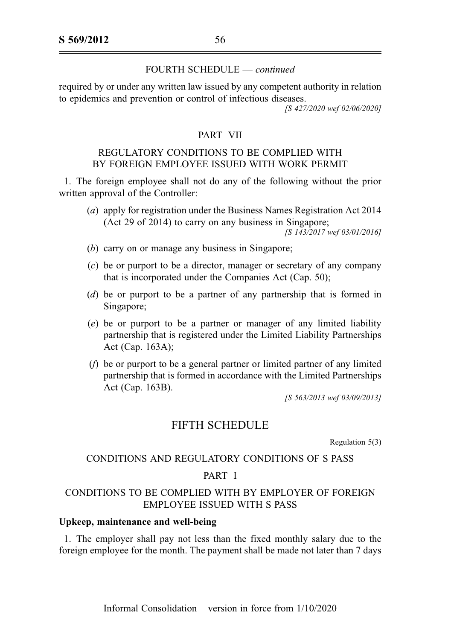required by or under any written law issued by any competent authority in relation to epidemics and prevention or control of infectious diseases. [S 427/2020 wef 02/06/2020]

# PART VII

# REGULATORY CONDITIONS TO BE COMPLIED WITH BY FOREIGN EMPLOYEE ISSUED WITH WORK PERMIT

1. The foreign employee shall not do any of the following without the prior written approval of the Controller:

(a) apply for registration under the Business Names Registration Act 2014 (Act 29 of 2014) to carry on any business in Singapore;

[S 143/2017 wef 03/01/2016]

- (b) carry on or manage any business in Singapore;
- (c) be or purport to be a director, manager or secretary of any company that is incorporated under the Companies Act (Cap. 50);
- (d) be or purport to be a partner of any partnership that is formed in Singapore;
- (e) be or purport to be a partner or manager of any limited liability partnership that is registered under the Limited Liability Partnerships Act (Cap. 163A);
- (f) be or purport to be a general partner or limited partner of any limited partnership that is formed in accordance with the Limited Partnerships Act (Cap. 163B).

[S 563/2013 wef 03/09/2013]

# FIFTH SCHEDULE

Regulation 5(3)

# CONDITIONS AND REGULATORY CONDITIONS OF S PASS

# PART I

# CONDITIONS TO BE COMPLIED WITH BY EMPLOYER OF FOREIGN EMPLOYEE ISSUED WITH S PASS

### Upkeep, maintenance and well-being

1. The employer shall pay not less than the fixed monthly salary due to the foreign employee for the month. The payment shall be made not later than 7 days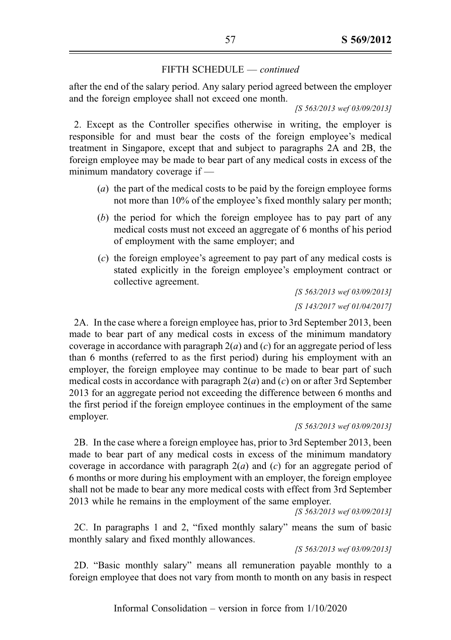after the end of the salary period. Any salary period agreed between the employer and the foreign employee shall not exceed one month.

[S 563/2013 wef 03/09/2013]

2. Except as the Controller specifies otherwise in writing, the employer is responsible for and must bear the costs of the foreign employee's medical treatment in Singapore, except that and subject to paragraphs 2A and 2B, the foreign employee may be made to bear part of any medical costs in excess of the minimum mandatory coverage if —

- (a) the part of the medical costs to be paid by the foreign employee forms not more than 10% of the employee's fixed monthly salary per month;
- (b) the period for which the foreign employee has to pay part of any medical costs must not exceed an aggregate of 6 months of his period of employment with the same employer; and
- (c) the foreign employee's agreement to pay part of any medical costs is stated explicitly in the foreign employee's employment contract or collective agreement.

[S 563/2013 wef 03/09/2013] [S 143/2017 wef 01/04/2017]

2A. In the case where a foreign employee has, prior to 3rd September 2013, been made to bear part of any medical costs in excess of the minimum mandatory coverage in accordance with paragraph  $2(a)$  and (c) for an aggregate period of less than 6 months (referred to as the first period) during his employment with an employer, the foreign employee may continue to be made to bear part of such medical costs in accordance with paragraph  $2(a)$  and  $(c)$  on or after 3rd September 2013 for an aggregate period not exceeding the difference between 6 months and the first period if the foreign employee continues in the employment of the same employer.

[S 563/2013 wef 03/09/2013]

2B. In the case where a foreign employee has, prior to 3rd September 2013, been made to bear part of any medical costs in excess of the minimum mandatory coverage in accordance with paragraph  $2(a)$  and (c) for an aggregate period of 6 months or more during his employment with an employer, the foreign employee shall not be made to bear any more medical costs with effect from 3rd September 2013 while he remains in the employment of the same employer.

[S 563/2013 wef 03/09/2013]

2C. In paragraphs 1 and 2, "fixed monthly salary" means the sum of basic monthly salary and fixed monthly allowances.

[S 563/2013 wef 03/09/2013]

2D. "Basic monthly salary" means all remuneration payable monthly to a foreign employee that does not vary from month to month on any basis in respect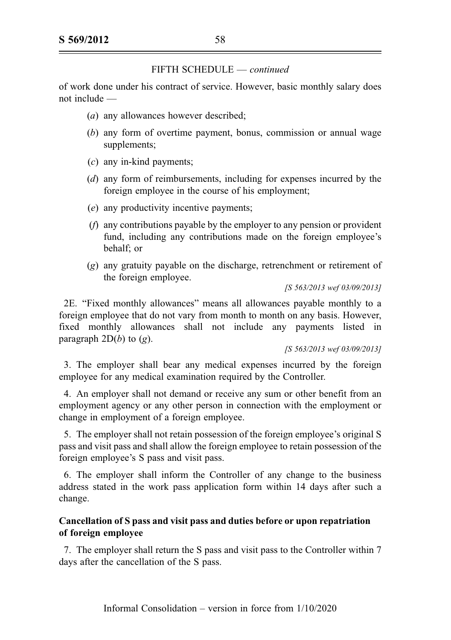of work done under his contract of service. However, basic monthly salary does not include —

- (*a*) any allowances however described;
- (b) any form of overtime payment, bonus, commission or annual wage supplements;
- $(c)$  any in-kind payments:
- (d) any form of reimbursements, including for expenses incurred by the foreign employee in the course of his employment;
- (e) any productivity incentive payments;
- (f) any contributions payable by the employer to any pension or provident fund, including any contributions made on the foreign employee's behalf; or
- (g) any gratuity payable on the discharge, retrenchment or retirement of the foreign employee.

[S 563/2013 wef 03/09/2013]

2E. "Fixed monthly allowances" means all allowances payable monthly to a foreign employee that do not vary from month to month on any basis. However, fixed monthly allowances shall not include any payments listed in paragraph  $2D(b)$  to  $(g)$ .

[S 563/2013 wef 03/09/2013]

3. The employer shall bear any medical expenses incurred by the foreign employee for any medical examination required by the Controller.

4. An employer shall not demand or receive any sum or other benefit from an employment agency or any other person in connection with the employment or change in employment of a foreign employee.

5. The employer shall not retain possession of the foreign employee's original S pass and visit pass and shall allow the foreign employee to retain possession of the foreign employee's S pass and visit pass.

6. The employer shall inform the Controller of any change to the business address stated in the work pass application form within 14 days after such a change.

# Cancellation of S pass and visit pass and duties before or upon repatriation of foreign employee

7. The employer shall return the S pass and visit pass to the Controller within 7 days after the cancellation of the S pass.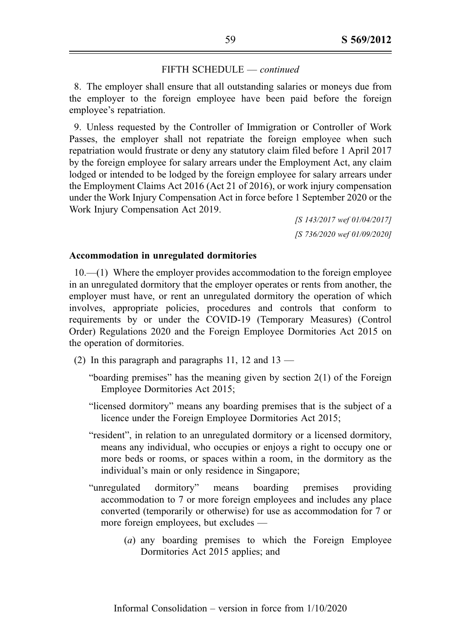8. The employer shall ensure that all outstanding salaries or moneys due from the employer to the foreign employee have been paid before the foreign employee's repatriation.

9. Unless requested by the Controller of Immigration or Controller of Work Passes, the employer shall not repatriate the foreign employee when such repatriation would frustrate or deny any statutory claim filed before 1 April 2017 by the foreign employee for salary arrears under the Employment Act, any claim lodged or intended to be lodged by the foreign employee for salary arrears under the Employment Claims Act 2016 (Act 21 of 2016), or work injury compensation under the Work Injury Compensation Act in force before 1 September 2020 or the Work Injury Compensation Act 2019.

> [S 143/2017 wef 01/04/2017] [S 736/2020 wef 01/09/2020]

#### Accommodation in unregulated dormitories

10.—(1) Where the employer provides accommodation to the foreign employee in an unregulated dormitory that the employer operates or rents from another, the employer must have, or rent an unregulated dormitory the operation of which involves, appropriate policies, procedures and controls that conform to requirements by or under the COVID-19 (Temporary Measures) (Control Order) Regulations 2020 and the Foreign Employee Dormitories Act 2015 on the operation of dormitories.

- (2) In this paragraph and paragraphs 11, 12 and  $13 -$ 
	- "boarding premises" has the meaning given by section 2(1) of the Foreign Employee Dormitories Act 2015;
	- "licensed dormitory" means any boarding premises that is the subject of a licence under the Foreign Employee Dormitories Act 2015;
	- "resident", in relation to an unregulated dormitory or a licensed dormitory, means any individual, who occupies or enjoys a right to occupy one or more beds or rooms, or spaces within a room, in the dormitory as the individual's main or only residence in Singapore;
	- "unregulated dormitory" means boarding premises providing accommodation to 7 or more foreign employees and includes any place converted (temporarily or otherwise) for use as accommodation for 7 or more foreign employees, but excludes —
		- (a) any boarding premises to which the Foreign Employee Dormitories Act 2015 applies; and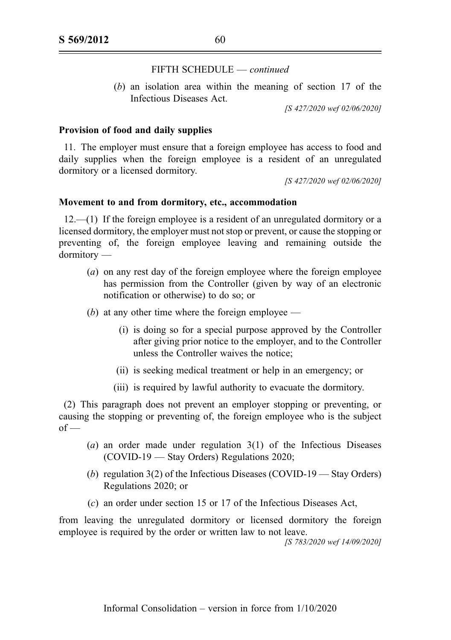(b) an isolation area within the meaning of section 17 of the Infectious Diseases Act.

[S 427/2020 wef 02/06/2020]

#### Provision of food and daily supplies

11. The employer must ensure that a foreign employee has access to food and daily supplies when the foreign employee is a resident of an unregulated dormitory or a licensed dormitory.

[S 427/2020 wef 02/06/2020]

### Movement to and from dormitory, etc., accommodation

12.—(1) If the foreign employee is a resident of an unregulated dormitory or a licensed dormitory, the employer must not stop or prevent, or cause the stopping or preventing of, the foreign employee leaving and remaining outside the dormitory —

- (a) on any rest day of the foreign employee where the foreign employee has permission from the Controller (given by way of an electronic notification or otherwise) to do so; or
- (b) at any other time where the foreign employee  $-$ 
	- (i) is doing so for a special purpose approved by the Controller after giving prior notice to the employer, and to the Controller unless the Controller waives the notice;
	- (ii) is seeking medical treatment or help in an emergency; or
	- (iii) is required by lawful authority to evacuate the dormitory.

(2) This paragraph does not prevent an employer stopping or preventing, or causing the stopping or preventing of, the foreign employee who is the subject  $of -$ 

- (a) an order made under regulation 3(1) of the Infectious Diseases (COVID-19 — Stay Orders) Regulations 2020;
- (b) regulation 3(2) of the Infectious Diseases (COVID-19 Stay Orders) Regulations 2020; or
- (c) an order under section 15 or 17 of the Infectious Diseases Act,

from leaving the unregulated dormitory or licensed dormitory the foreign employee is required by the order or written law to not leave.

[S 783/2020 wef 14/09/2020]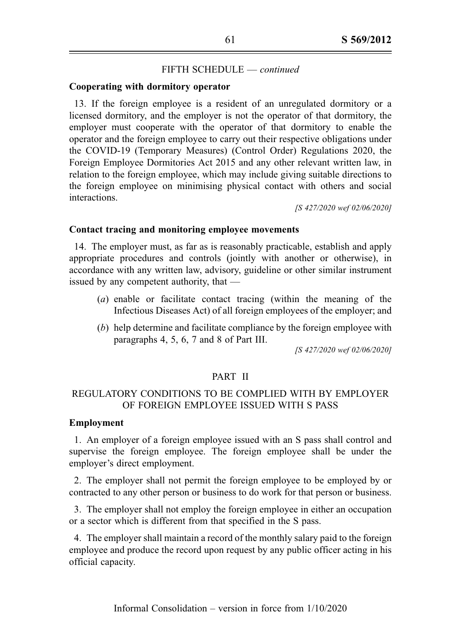#### Cooperating with dormitory operator

13. If the foreign employee is a resident of an unregulated dormitory or a licensed dormitory, and the employer is not the operator of that dormitory, the employer must cooperate with the operator of that dormitory to enable the operator and the foreign employee to carry out their respective obligations under the COVID-19 (Temporary Measures) (Control Order) Regulations 2020, the Foreign Employee Dormitories Act 2015 and any other relevant written law, in relation to the foreign employee, which may include giving suitable directions to the foreign employee on minimising physical contact with others and social interactions.

[S 427/2020 wef 02/06/2020]

#### Contact tracing and monitoring employee movements

14. The employer must, as far as is reasonably practicable, establish and apply appropriate procedures and controls (jointly with another or otherwise), in accordance with any written law, advisory, guideline or other similar instrument issued by any competent authority, that —

- (a) enable or facilitate contact tracing (within the meaning of the Infectious Diseases Act) of all foreign employees of the employer; and
- (b) help determine and facilitate compliance by the foreign employee with paragraphs 4, 5, 6, 7 and 8 of Part III.

[S 427/2020 wef 02/06/2020]

## PART II

# REGULATORY CONDITIONS TO BE COMPLIED WITH BY EMPLOYER OF FOREIGN EMPLOYEE ISSUED WITH S PASS

# Employment

1. An employer of a foreign employee issued with an S pass shall control and supervise the foreign employee. The foreign employee shall be under the employer's direct employment.

2. The employer shall not permit the foreign employee to be employed by or contracted to any other person or business to do work for that person or business.

3. The employer shall not employ the foreign employee in either an occupation or a sector which is different from that specified in the S pass.

4. The employer shall maintain a record of the monthly salary paid to the foreign employee and produce the record upon request by any public officer acting in his official capacity.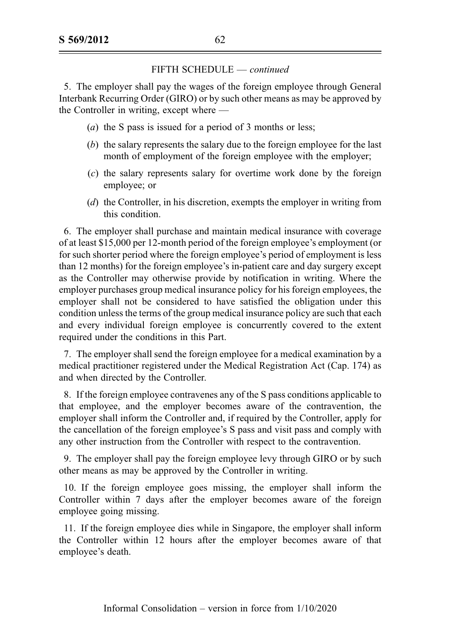5. The employer shall pay the wages of the foreign employee through General Interbank Recurring Order (GIRO) or by such other means as may be approved by the Controller in writing, except where —

- (a) the S pass is issued for a period of 3 months or less;
- (b) the salary represents the salary due to the foreign employee for the last month of employment of the foreign employee with the employer;
- (c) the salary represents salary for overtime work done by the foreign employee; or
- (d) the Controller, in his discretion, exempts the employer in writing from this condition.

6. The employer shall purchase and maintain medical insurance with coverage of at least \$15,000 per 12-month period of the foreign employee's employment (or for such shorter period where the foreign employee's period of employment is less than 12 months) for the foreign employee's in-patient care and day surgery except as the Controller may otherwise provide by notification in writing. Where the employer purchases group medical insurance policy for his foreign employees, the employer shall not be considered to have satisfied the obligation under this condition unless the terms of the group medical insurance policy are such that each and every individual foreign employee is concurrently covered to the extent required under the conditions in this Part.

7. The employer shall send the foreign employee for a medical examination by a medical practitioner registered under the Medical Registration Act (Cap. 174) as and when directed by the Controller.

8. If the foreign employee contravenes any of the S pass conditions applicable to that employee, and the employer becomes aware of the contravention, the employer shall inform the Controller and, if required by the Controller, apply for the cancellation of the foreign employee's S pass and visit pass and comply with any other instruction from the Controller with respect to the contravention.

9. The employer shall pay the foreign employee levy through GIRO or by such other means as may be approved by the Controller in writing.

10. If the foreign employee goes missing, the employer shall inform the Controller within 7 days after the employer becomes aware of the foreign employee going missing.

11. If the foreign employee dies while in Singapore, the employer shall inform the Controller within 12 hours after the employer becomes aware of that employee's death.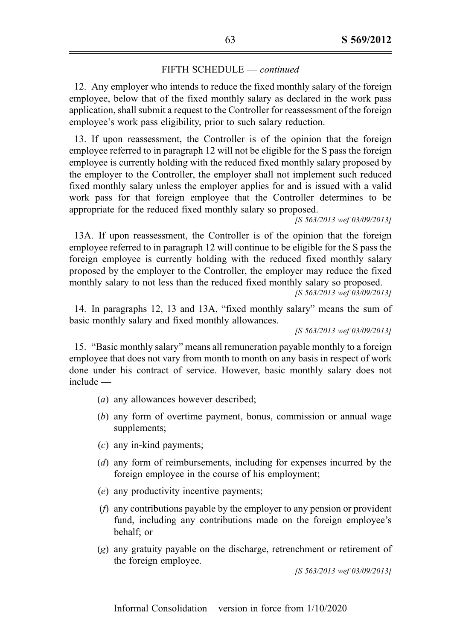12. Any employer who intends to reduce the fixed monthly salary of the foreign employee, below that of the fixed monthly salary as declared in the work pass application, shall submit a request to the Controller for reassessment of the foreign employee's work pass eligibility, prior to such salary reduction.

13. If upon reassessment, the Controller is of the opinion that the foreign employee referred to in paragraph 12 will not be eligible for the S pass the foreign employee is currently holding with the reduced fixed monthly salary proposed by the employer to the Controller, the employer shall not implement such reduced fixed monthly salary unless the employer applies for and is issued with a valid work pass for that foreign employee that the Controller determines to be appropriate for the reduced fixed monthly salary so proposed.

[S 563/2013 wef 03/09/2013]

13A. If upon reassessment, the Controller is of the opinion that the foreign employee referred to in paragraph 12 will continue to be eligible for the S pass the foreign employee is currently holding with the reduced fixed monthly salary proposed by the employer to the Controller, the employer may reduce the fixed monthly salary to not less than the reduced fixed monthly salary so proposed.

[S 563/2013 wef 03/09/2013]

14. In paragraphs 12, 13 and 13A, "fixed monthly salary" means the sum of basic monthly salary and fixed monthly allowances.

[S 563/2013 wef 03/09/2013]

15. "Basic monthly salary" means all remuneration payable monthly to a foreign employee that does not vary from month to month on any basis in respect of work done under his contract of service. However, basic monthly salary does not include —

- (a) any allowances however described;
- (b) any form of overtime payment, bonus, commission or annual wage supplements;
- (c) any in-kind payments;
- (d) any form of reimbursements, including for expenses incurred by the foreign employee in the course of his employment;
- (e) any productivity incentive payments;
- (f) any contributions payable by the employer to any pension or provident fund, including any contributions made on the foreign employee's behalf; or
- (g) any gratuity payable on the discharge, retrenchment or retirement of the foreign employee.

[S 563/2013 wef 03/09/2013]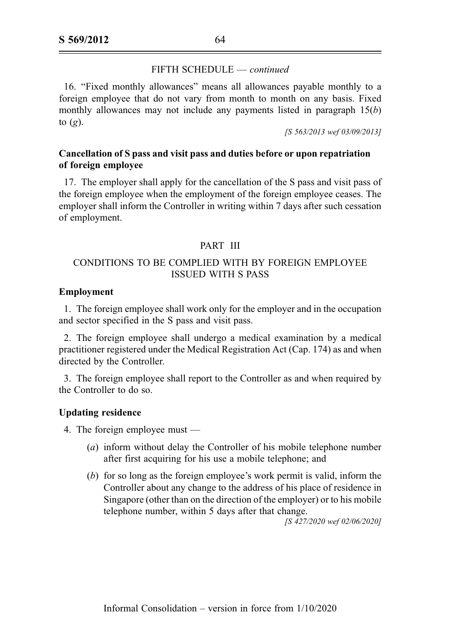16. "Fixed monthly allowances" means all allowances payable monthly to a foreign employee that do not vary from month to month on any basis. Fixed monthly allowances may not include any payments listed in paragraph  $15(b)$ to  $(g)$ .

[S 563/2013 wef 03/09/2013]

# Cancellation of S pass and visit pass and duties before or upon repatriation of foreign employee

17. The employer shall apply for the cancellation of the S pass and visit pass of the foreign employee when the employment of the foreign employee ceases. The employer shall inform the Controller in writing within 7 days after such cessation of employment.

# PART III

# CONDITIONS TO BE COMPLIED WITH BY FOREIGN EMPLOYEE ISSUED WITH S PASS

## Employment

1. The foreign employee shall work only for the employer and in the occupation and sector specified in the S pass and visit pass.

2. The foreign employee shall undergo a medical examination by a medical practitioner registered under the Medical Registration Act (Cap. 174) as and when directed by the Controller.

3. The foreign employee shall report to the Controller as and when required by the Controller to do so.

#### Updating residence

4. The foreign employee must —

- (a) inform without delay the Controller of his mobile telephone number after first acquiring for his use a mobile telephone; and
- (b) for so long as the foreign employee's work permit is valid, inform the Controller about any change to the address of his place of residence in Singapore (other than on the direction of the employer) or to his mobile telephone number, within 5 days after that change.

[S 427/2020 wef 02/06/2020]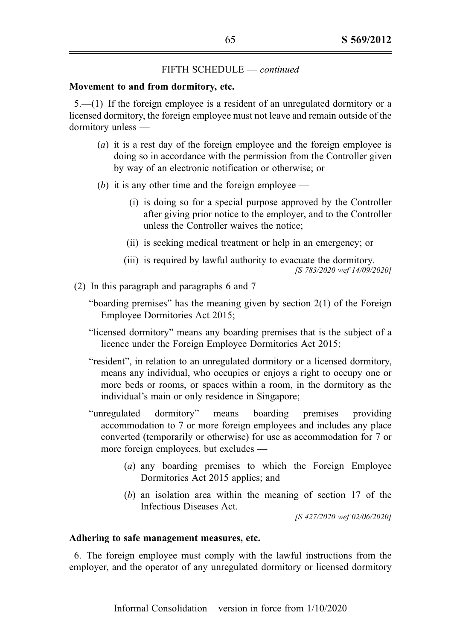#### Movement to and from dormitory, etc.

5.—(1) If the foreign employee is a resident of an unregulated dormitory or a licensed dormitory, the foreign employee must not leave and remain outside of the dormitory unless —

- (a) it is a rest day of the foreign employee and the foreign employee is doing so in accordance with the permission from the Controller given by way of an electronic notification or otherwise; or
- (b) it is any other time and the foreign employee
	- (i) is doing so for a special purpose approved by the Controller after giving prior notice to the employer, and to the Controller unless the Controller waives the notice;
	- (ii) is seeking medical treatment or help in an emergency; or
	- (iii) is required by lawful authority to evacuate the dormitory. [S 783/2020 wef 14/09/2020]
- (2) In this paragraph and paragraphs 6 and  $7 -$ 
	- "boarding premises" has the meaning given by section 2(1) of the Foreign Employee Dormitories Act 2015;
	- "licensed dormitory" means any boarding premises that is the subject of a licence under the Foreign Employee Dormitories Act 2015;
	- "resident", in relation to an unregulated dormitory or a licensed dormitory, means any individual, who occupies or enjoys a right to occupy one or more beds or rooms, or spaces within a room, in the dormitory as the individual's main or only residence in Singapore;
	- "unregulated dormitory" means boarding premises providing accommodation to 7 or more foreign employees and includes any place converted (temporarily or otherwise) for use as accommodation for 7 or more foreign employees, but excludes —
		- (a) any boarding premises to which the Foreign Employee Dormitories Act 2015 applies; and
		- (b) an isolation area within the meaning of section 17 of the Infectious Diseases Act.

[S 427/2020 wef 02/06/2020]

#### Adhering to safe management measures, etc.

6. The foreign employee must comply with the lawful instructions from the employer, and the operator of any unregulated dormitory or licensed dormitory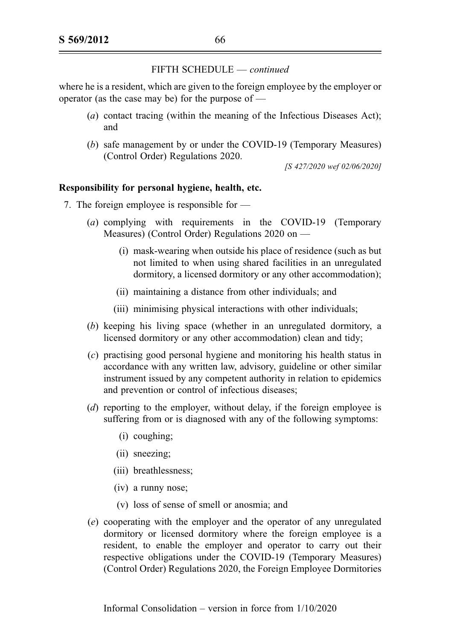where he is a resident, which are given to the foreign employee by the employer or operator (as the case may be) for the purpose of —

- (a) contact tracing (within the meaning of the Infectious Diseases Act); and
- (b) safe management by or under the COVID-19 (Temporary Measures) (Control Order) Regulations 2020.

[S 427/2020 wef 02/06/2020]

## Responsibility for personal hygiene, health, etc.

- 7. The foreign employee is responsible for
	- (a) complying with requirements in the COVID-19 (Temporary Measures) (Control Order) Regulations 2020 on —
		- (i) mask-wearing when outside his place of residence (such as but not limited to when using shared facilities in an unregulated dormitory, a licensed dormitory or any other accommodation);
		- (ii) maintaining a distance from other individuals; and
		- (iii) minimising physical interactions with other individuals;
	- (b) keeping his living space (whether in an unregulated dormitory, a licensed dormitory or any other accommodation) clean and tidy;
	- (c) practising good personal hygiene and monitoring his health status in accordance with any written law, advisory, guideline or other similar instrument issued by any competent authority in relation to epidemics and prevention or control of infectious diseases;
	- (d) reporting to the employer, without delay, if the foreign employee is suffering from or is diagnosed with any of the following symptoms:
		- (i) coughing;
		- (ii) sneezing;
		- (iii) breathlessness;
		- (iv) a runny nose;
		- (v) loss of sense of smell or anosmia; and
	- (e) cooperating with the employer and the operator of any unregulated dormitory or licensed dormitory where the foreign employee is a resident, to enable the employer and operator to carry out their respective obligations under the COVID-19 (Temporary Measures) (Control Order) Regulations 2020, the Foreign Employee Dormitories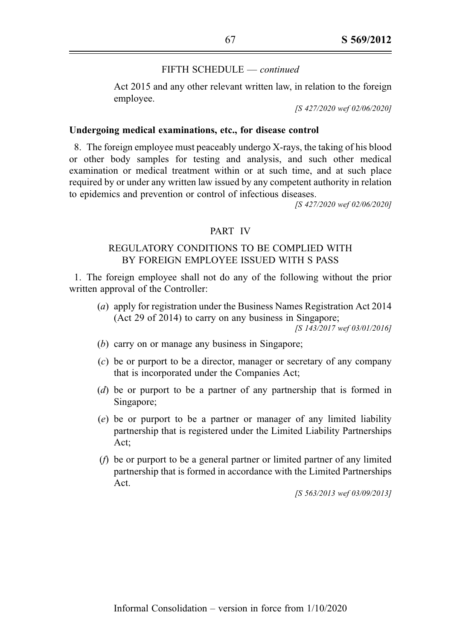Act 2015 and any other relevant written law, in relation to the foreign employee.

[S 427/2020 wef 02/06/2020]

#### Undergoing medical examinations, etc., for disease control

8. The foreign employee must peaceably undergo X-rays, the taking of his blood or other body samples for testing and analysis, and such other medical examination or medical treatment within or at such time, and at such place required by or under any written law issued by any competent authority in relation to epidemics and prevention or control of infectious diseases.

[S 427/2020 wef 02/06/2020]

#### PART IV

# REGULATORY CONDITIONS TO BE COMPLIED WITH BY FOREIGN EMPLOYEE ISSUED WITH S PASS

1. The foreign employee shall not do any of the following without the prior written approval of the Controller:

(a) apply for registration under the Business Names Registration Act 2014 (Act 29 of 2014) to carry on any business in Singapore;

[S 143/2017 wef 03/01/2016]

- (b) carry on or manage any business in Singapore;
- (c) be or purport to be a director, manager or secretary of any company that is incorporated under the Companies Act;
- (d) be or purport to be a partner of any partnership that is formed in Singapore;
- (e) be or purport to be a partner or manager of any limited liability partnership that is registered under the Limited Liability Partnerships Act;
- (f) be or purport to be a general partner or limited partner of any limited partnership that is formed in accordance with the Limited Partnerships Act.

[S 563/2013 wef 03/09/2013]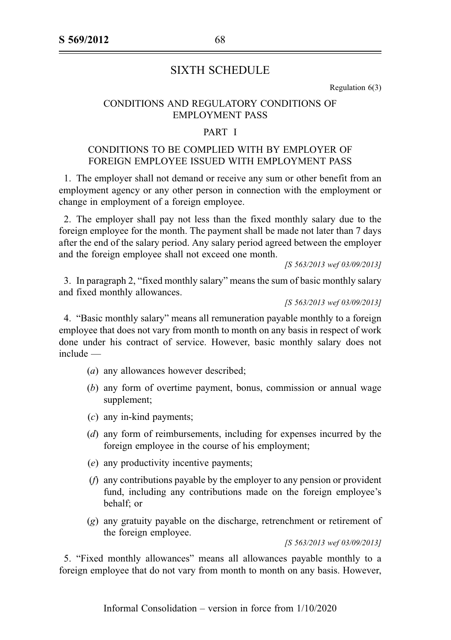# SIXTH SCHEDULE

Regulation 6(3)

# CONDITIONS AND REGULATORY CONDITIONS OF EMPLOYMENT PASS

# PART I

# CONDITIONS TO BE COMPLIED WITH BY EMPLOYER OF FOREIGN EMPLOYEE ISSUED WITH EMPLOYMENT PASS

1. The employer shall not demand or receive any sum or other benefit from an employment agency or any other person in connection with the employment or change in employment of a foreign employee.

2. The employer shall pay not less than the fixed monthly salary due to the foreign employee for the month. The payment shall be made not later than 7 days after the end of the salary period. Any salary period agreed between the employer and the foreign employee shall not exceed one month.

[S 563/2013 wef 03/09/2013]

3. In paragraph 2, "fixed monthly salary" means the sum of basic monthly salary and fixed monthly allowances.

[S 563/2013 wef 03/09/2013]

4. "Basic monthly salary" means all remuneration payable monthly to a foreign employee that does not vary from month to month on any basis in respect of work done under his contract of service. However, basic monthly salary does not include —

- (*a*) any allowances however described;
- (b) any form of overtime payment, bonus, commission or annual wage supplement;
- (c) any in-kind payments;
- (d) any form of reimbursements, including for expenses incurred by the foreign employee in the course of his employment;
- (e) any productivity incentive payments;
- (f) any contributions payable by the employer to any pension or provident fund, including any contributions made on the foreign employee's behalf; or
- (g) any gratuity payable on the discharge, retrenchment or retirement of the foreign employee.

[S 563/2013 wef 03/09/2013]

5. "Fixed monthly allowances" means all allowances payable monthly to a foreign employee that do not vary from month to month on any basis. However,

Informal Consolidation – version in force from 1/10/2020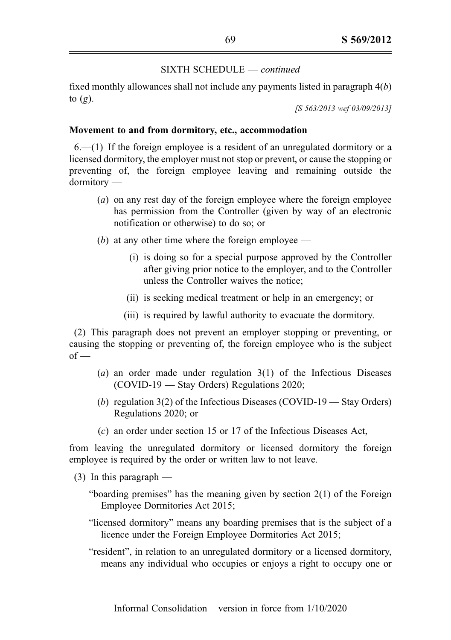fixed monthly allowances shall not include any payments listed in paragraph  $4(b)$ to  $(g)$ .

[S 563/2013 wef 03/09/2013]

# Movement to and from dormitory, etc., accommodation

 $6(-1)$  If the foreign employee is a resident of an unregulated dormitory or a licensed dormitory, the employer must not stop or prevent, or cause the stopping or preventing of, the foreign employee leaving and remaining outside the dormitory —

- (a) on any rest day of the foreign employee where the foreign employee has permission from the Controller (given by way of an electronic notification or otherwise) to do so; or
- (b) at any other time where the foreign employee
	- (i) is doing so for a special purpose approved by the Controller after giving prior notice to the employer, and to the Controller unless the Controller waives the notice;
	- (ii) is seeking medical treatment or help in an emergency; or
	- (iii) is required by lawful authority to evacuate the dormitory.

(2) This paragraph does not prevent an employer stopping or preventing, or causing the stopping or preventing of, the foreign employee who is the subject  $of -$ 

- (a) an order made under regulation 3(1) of the Infectious Diseases (COVID-19 — Stay Orders) Regulations 2020;
- (b) regulation  $3(2)$  of the Infectious Diseases (COVID-19 Stay Orders) Regulations 2020; or
- (c) an order under section 15 or 17 of the Infectious Diseases Act,

from leaving the unregulated dormitory or licensed dormitory the foreign employee is required by the order or written law to not leave.

- $(3)$  In this paragraph
	- "boarding premises" has the meaning given by section 2(1) of the Foreign Employee Dormitories Act 2015;
	- "licensed dormitory" means any boarding premises that is the subject of a licence under the Foreign Employee Dormitories Act 2015;
	- "resident", in relation to an unregulated dormitory or a licensed dormitory, means any individual who occupies or enjoys a right to occupy one or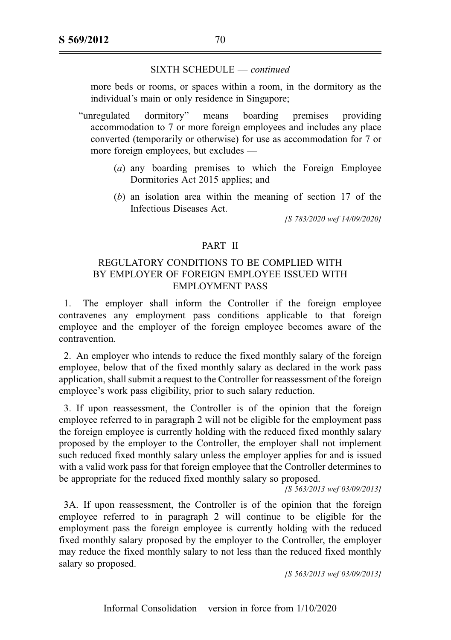more beds or rooms, or spaces within a room, in the dormitory as the individual's main or only residence in Singapore;

"unregulated dormitory" means boarding premises providing accommodation to 7 or more foreign employees and includes any place converted (temporarily or otherwise) for use as accommodation for 7 or more foreign employees, but excludes —

- (a) any boarding premises to which the Foreign Employee Dormitories Act 2015 applies; and
- (b) an isolation area within the meaning of section 17 of the Infectious Diseases Act.

[S 783/2020 wef 14/09/2020]

# PART II

# REGULATORY CONDITIONS TO BE COMPLIED WITH BY EMPLOYER OF FOREIGN EMPLOYEE ISSUED WITH EMPLOYMENT PASS

1. The employer shall inform the Controller if the foreign employee contravenes any employment pass conditions applicable to that foreign employee and the employer of the foreign employee becomes aware of the contravention.

2. An employer who intends to reduce the fixed monthly salary of the foreign employee, below that of the fixed monthly salary as declared in the work pass application, shall submit a request to the Controller for reassessment of the foreign employee's work pass eligibility, prior to such salary reduction.

3. If upon reassessment, the Controller is of the opinion that the foreign employee referred to in paragraph 2 will not be eligible for the employment pass the foreign employee is currently holding with the reduced fixed monthly salary proposed by the employer to the Controller, the employer shall not implement such reduced fixed monthly salary unless the employer applies for and is issued with a valid work pass for that foreign employee that the Controller determines to be appropriate for the reduced fixed monthly salary so proposed.

[S 563/2013 wef 03/09/2013]

3A. If upon reassessment, the Controller is of the opinion that the foreign employee referred to in paragraph 2 will continue to be eligible for the employment pass the foreign employee is currently holding with the reduced fixed monthly salary proposed by the employer to the Controller, the employer may reduce the fixed monthly salary to not less than the reduced fixed monthly salary so proposed.

[S 563/2013 wef 03/09/2013]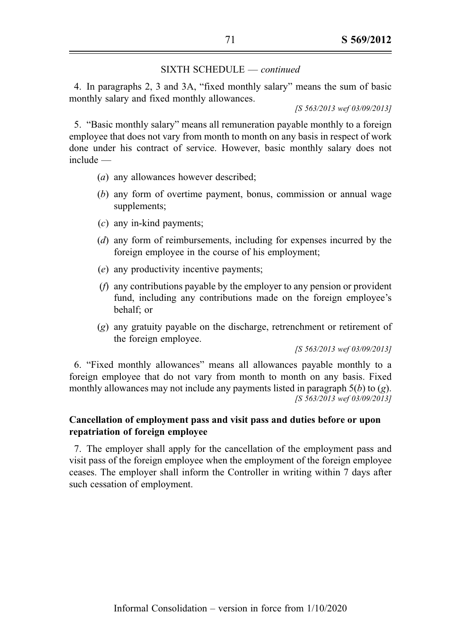4. In paragraphs 2, 3 and 3A, "fixed monthly salary" means the sum of basic monthly salary and fixed monthly allowances.

[S 563/2013 wef 03/09/2013]

5. "Basic monthly salary" means all remuneration payable monthly to a foreign employee that does not vary from month to month on any basis in respect of work done under his contract of service. However, basic monthly salary does not include —

- (a) any allowances however described;
- (b) any form of overtime payment, bonus, commission or annual wage supplements;
- (c) any in-kind payments;
- (d) any form of reimbursements, including for expenses incurred by the foreign employee in the course of his employment;
- (e) any productivity incentive payments;
- (f) any contributions payable by the employer to any pension or provident fund, including any contributions made on the foreign employee's behalf; or
- (g) any gratuity payable on the discharge, retrenchment or retirement of the foreign employee.

[S 563/2013 wef 03/09/2013]

6. "Fixed monthly allowances" means all allowances payable monthly to a foreign employee that do not vary from month to month on any basis. Fixed monthly allowances may not include any payments listed in paragraph  $5(b)$  to (g). [S 563/2013 wef 03/09/2013]

# Cancellation of employment pass and visit pass and duties before or upon repatriation of foreign employee

7. The employer shall apply for the cancellation of the employment pass and visit pass of the foreign employee when the employment of the foreign employee ceases. The employer shall inform the Controller in writing within 7 days after such cessation of employment.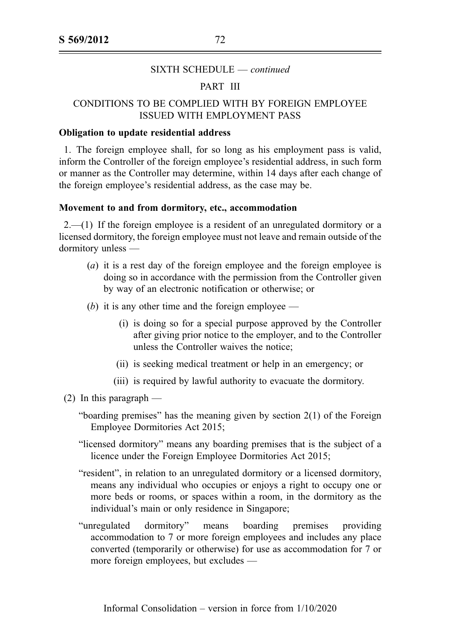## PART III

# CONDITIONS TO BE COMPLIED WITH BY FOREIGN EMPLOYEE ISSUED WITH EMPLOYMENT PASS

#### Obligation to update residential address

1. The foreign employee shall, for so long as his employment pass is valid, inform the Controller of the foreign employee's residential address, in such form or manner as the Controller may determine, within 14 days after each change of the foreign employee's residential address, as the case may be.

#### Movement to and from dormitory, etc., accommodation

 $2.-(1)$  If the foreign employee is a resident of an unregulated dormitory or a licensed dormitory, the foreign employee must not leave and remain outside of the dormitory unless —

- (a) it is a rest day of the foreign employee and the foreign employee is doing so in accordance with the permission from the Controller given by way of an electronic notification or otherwise; or
- (b) it is any other time and the foreign employee
	- (i) is doing so for a special purpose approved by the Controller after giving prior notice to the employer, and to the Controller unless the Controller waives the notice;
	- (ii) is seeking medical treatment or help in an emergency; or
	- (iii) is required by lawful authority to evacuate the dormitory.
- (2) In this paragraph  $-$ 
	- "boarding premises" has the meaning given by section 2(1) of the Foreign Employee Dormitories Act 2015;
	- "licensed dormitory" means any boarding premises that is the subject of a licence under the Foreign Employee Dormitories Act 2015;
	- "resident", in relation to an unregulated dormitory or a licensed dormitory, means any individual who occupies or enjoys a right to occupy one or more beds or rooms, or spaces within a room, in the dormitory as the individual's main or only residence in Singapore;
	- "unregulated dormitory" means boarding premises providing accommodation to 7 or more foreign employees and includes any place converted (temporarily or otherwise) for use as accommodation for 7 or more foreign employees, but excludes —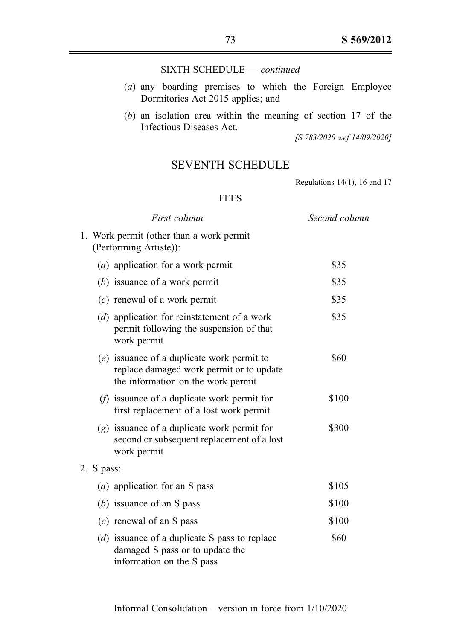#### SIXTH SCHEDULE — continued

- (a) any boarding premises to which the Foreign Employee Dormitories Act 2015 applies; and
- $(b)$  an isolation area within the meaning of section 17 of the Infectious Diseases Act.

[S 783/2020 wef 14/09/2020]

### SEVENTH SCHEDULE

Regulations 14(1), 16 and 17

#### FEES

|                                                                    | First column                                                                                                                   | Second column |
|--------------------------------------------------------------------|--------------------------------------------------------------------------------------------------------------------------------|---------------|
| 1. Work permit (other than a work permit<br>(Performing Artiste)): |                                                                                                                                |               |
|                                                                    | (a) application for a work permit                                                                                              | \$35          |
|                                                                    | $(b)$ issuance of a work permit                                                                                                | \$35          |
|                                                                    | $(c)$ renewal of a work permit                                                                                                 | \$35          |
|                                                                    | (d) application for reinstatement of a work<br>permit following the suspension of that<br>work permit                          | \$35          |
|                                                                    | $(e)$ issuance of a duplicate work permit to<br>replace damaged work permit or to update<br>the information on the work permit | \$60          |
|                                                                    | $(f)$ issuance of a duplicate work permit for<br>first replacement of a lost work permit                                       | \$100         |
|                                                                    | $(g)$ issuance of a duplicate work permit for<br>second or subsequent replacement of a lost<br>work permit                     | \$300         |
| 2. S pass:                                                         |                                                                                                                                |               |
|                                                                    | ( <i>a</i> ) application for an S pass                                                                                         | \$105         |
|                                                                    | (b) issuance of an S pass                                                                                                      | \$100         |
|                                                                    | $(c)$ renewal of an S pass                                                                                                     | \$100         |
|                                                                    | (d) issuance of a duplicate S pass to replace<br>damaged S pass or to update the<br>information on the S pass                  | \$60          |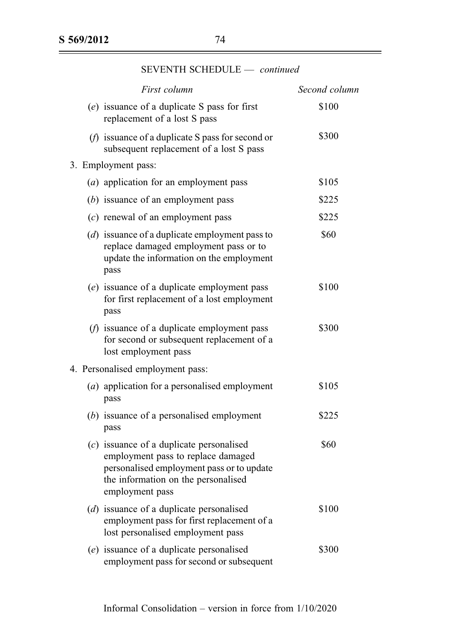| First column                                                                                                                                                                            | Second column |
|-----------------------------------------------------------------------------------------------------------------------------------------------------------------------------------------|---------------|
| $(e)$ issuance of a duplicate S pass for first<br>replacement of a lost S pass                                                                                                          | \$100         |
| $(f)$ issuance of a duplicate S pass for second or<br>subsequent replacement of a lost S pass                                                                                           | \$300         |
| 3. Employment pass:                                                                                                                                                                     |               |
| (a) application for an employment pass                                                                                                                                                  | \$105         |
| $(b)$ issuance of an employment pass                                                                                                                                                    | \$225         |
| $(c)$ renewal of an employment pass                                                                                                                                                     | \$225         |
| (d) issuance of a duplicate employment pass to<br>replace damaged employment pass or to<br>update the information on the employment<br>pass                                             | \$60          |
| (e) issuance of a duplicate employment pass<br>for first replacement of a lost employment<br>pass                                                                                       | \$100         |
| $(f)$ issuance of a duplicate employment pass<br>for second or subsequent replacement of a<br>lost employment pass                                                                      | \$300         |
| 4. Personalised employment pass:                                                                                                                                                        |               |
| (a) application for a personalised employment<br>pass                                                                                                                                   | \$105         |
| (b) issuance of a personalised employment<br>pass                                                                                                                                       | \$225         |
| $(c)$ issuance of a duplicate personalised<br>employment pass to replace damaged<br>personalised employment pass or to update<br>the information on the personalised<br>employment pass | \$60          |
| (d) issuance of a duplicate personalised<br>employment pass for first replacement of a<br>lost personalised employment pass                                                             | \$100         |
| (e) issuance of a duplicate personalised<br>employment pass for second or subsequent                                                                                                    | \$300         |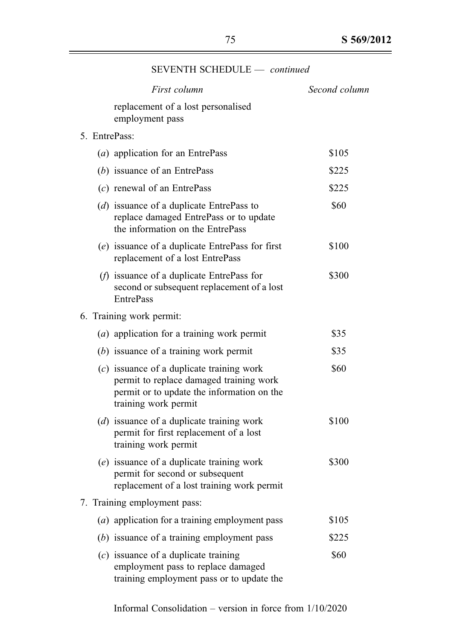|  | First column             |                                                                                                                                                              | Second column |
|--|--------------------------|--------------------------------------------------------------------------------------------------------------------------------------------------------------|---------------|
|  |                          | replacement of a lost personalised<br>employment pass                                                                                                        |               |
|  | 5. EntrePass:            |                                                                                                                                                              |               |
|  |                          | (a) application for an EntrePass                                                                                                                             | \$105         |
|  |                          | $(b)$ issuance of an EntrePass                                                                                                                               | \$225         |
|  |                          | $(c)$ renewal of an EntrePass                                                                                                                                | \$225         |
|  |                          | ( $d$ ) issuance of a duplicate EntrePass to<br>replace damaged EntrePass or to update<br>the information on the EntrePass                                   | \$60          |
|  |                          | (e) issuance of a duplicate EntrePass for first<br>replacement of a lost EntrePass                                                                           | \$100         |
|  |                          | $(f)$ issuance of a duplicate EntrePass for<br>second or subsequent replacement of a lost<br><b>EntrePass</b>                                                | \$300         |
|  | 6. Training work permit: |                                                                                                                                                              |               |
|  |                          | $(a)$ application for a training work permit                                                                                                                 | \$35          |
|  |                          | $(b)$ issuance of a training work permit                                                                                                                     | \$35          |
|  |                          | $(c)$ issuance of a duplicate training work<br>permit to replace damaged training work<br>permit or to update the information on the<br>training work permit | \$60          |
|  |                          | (d) issuance of a duplicate training work<br>permit for first replacement of a lost<br>training work permit                                                  | \$100         |
|  |                          | (e) issuance of a duplicate training work<br>permit for second or subsequent<br>replacement of a lost training work permit                                   | \$300         |
|  |                          | 7. Training employment pass:                                                                                                                                 |               |
|  |                          | (a) application for a training employment pass                                                                                                               | \$105         |
|  |                          | $(b)$ issuance of a training employment pass                                                                                                                 | \$225         |
|  |                          | $(c)$ issuance of a duplicate training<br>employment pass to replace damaged<br>training employment pass or to update the                                    | \$60          |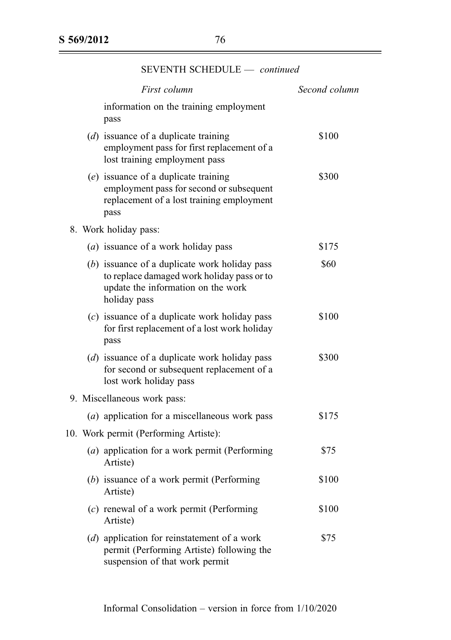| First column                                                                                                                                      | Second column |
|---------------------------------------------------------------------------------------------------------------------------------------------------|---------------|
| information on the training employment<br>pass                                                                                                    |               |
| $(d)$ issuance of a duplicate training<br>employment pass for first replacement of a<br>lost training employment pass                             | \$100         |
| $(e)$ issuance of a duplicate training<br>employment pass for second or subsequent<br>replacement of a lost training employment<br>pass           | \$300         |
| 8. Work holiday pass:                                                                                                                             |               |
| (a) issuance of a work holiday pass                                                                                                               | \$175         |
| (b) issuance of a duplicate work holiday pass<br>to replace damaged work holiday pass or to<br>update the information on the work<br>holiday pass | \$60          |
| $(c)$ issuance of a duplicate work holiday pass<br>for first replacement of a lost work holiday<br>pass                                           | \$100         |
| (d) issuance of a duplicate work holiday pass<br>for second or subsequent replacement of a<br>lost work holiday pass                              | \$300         |
| 9. Miscellaneous work pass:                                                                                                                       |               |
| (a) application for a miscellaneous work pass                                                                                                     | \$175         |
| 10. Work permit (Performing Artiste):                                                                                                             |               |
| (a) application for a work permit (Performing<br>Artiste)                                                                                         | \$75          |
| (b) issuance of a work permit (Performing<br>Artiste)                                                                                             | \$100         |
| (c) renewal of a work permit (Performing<br>Artiste)                                                                                              | \$100         |
| (d) application for reinstatement of a work<br>permit (Performing Artiste) following the<br>suspension of that work permit                        | \$75          |